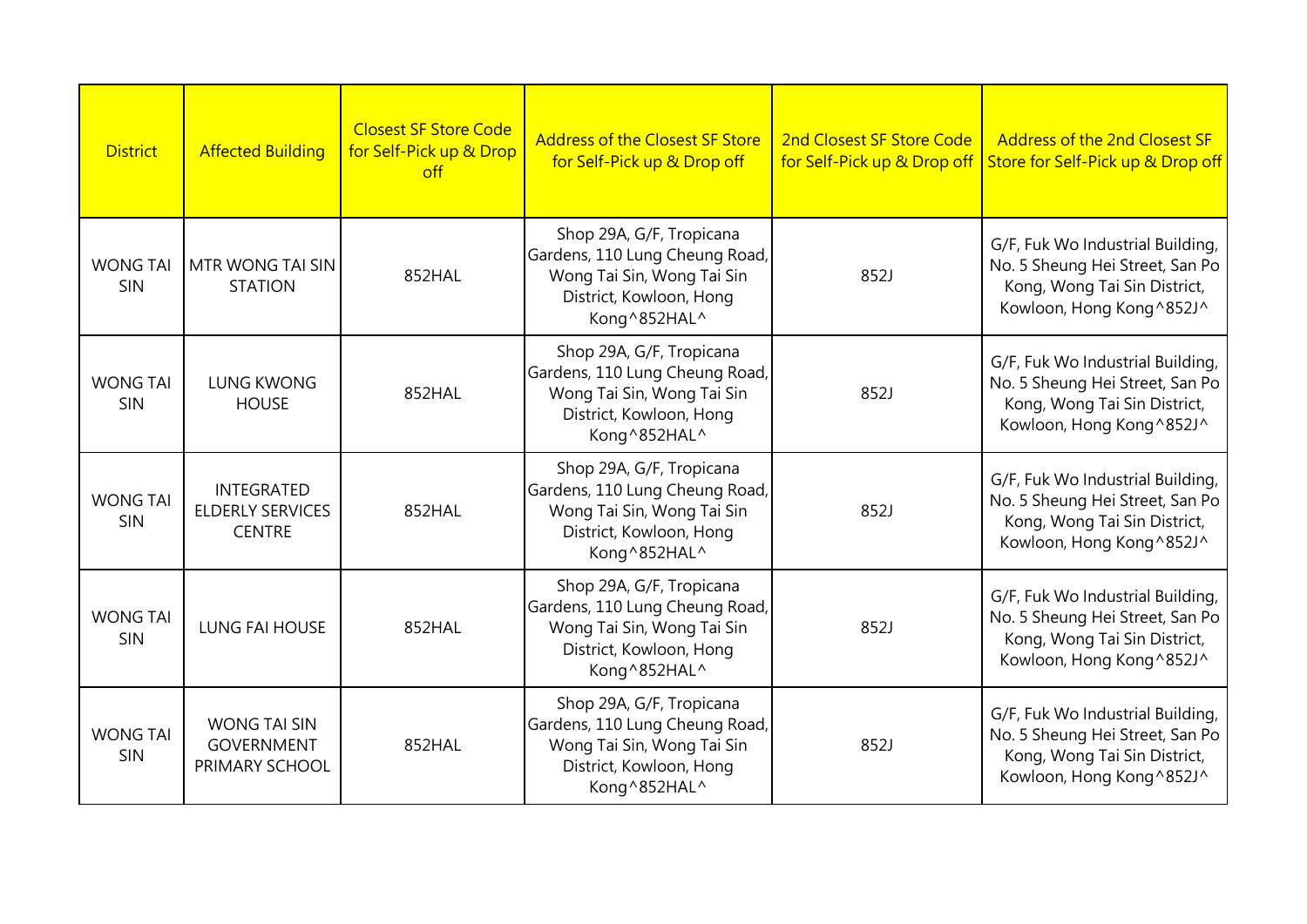| <b>District</b>        | <b>Affected Building</b>                                      | <b>Closest SF Store Code</b><br>for Self-Pick up & Drop<br>$\int$ | <b>Address of the Closest SF Store</b><br>for Self-Pick up & Drop off                                                                | 2nd Closest SF Store Code<br>for Self-Pick up & Drop off | <b>Address of the 2nd Closest SF</b><br>Store for Self-Pick up & Drop off                                                       |
|------------------------|---------------------------------------------------------------|-------------------------------------------------------------------|--------------------------------------------------------------------------------------------------------------------------------------|----------------------------------------------------------|---------------------------------------------------------------------------------------------------------------------------------|
| <b>WONG TAI</b><br>SIN | MTR WONG TAI SIN<br><b>STATION</b>                            | 852HAL                                                            | Shop 29A, G/F, Tropicana<br>Gardens, 110 Lung Cheung Road,<br>Wong Tai Sin, Wong Tai Sin<br>District, Kowloon, Hong<br>Kong^852HAL^  | 852J                                                     | G/F, Fuk Wo Industrial Building,<br>No. 5 Sheung Hei Street, San Po<br>Kong, Wong Tai Sin District,<br>Kowloon, Hong Kong^852J^ |
| <b>WONG TAI</b><br>SIN | <b>LUNG KWONG</b><br><b>HOUSE</b>                             | 852HAL                                                            | Shop 29A, G/F, Tropicana<br>Gardens, 110 Lung Cheung Road,<br>Wong Tai Sin, Wong Tai Sin<br>District, Kowloon, Hong<br>Kong^852HAL^  | 852J                                                     | G/F, Fuk Wo Industrial Building,<br>No. 5 Sheung Hei Street, San Po<br>Kong, Wong Tai Sin District,<br>Kowloon, Hong Kong^852J^ |
| <b>WONG TAI</b><br>SIN | <b>INTEGRATED</b><br><b>ELDERLY SERVICES</b><br><b>CENTRE</b> | 852HAL                                                            | Shop 29A, G/F, Tropicana<br>Gardens, 110 Lung Cheung Road,<br>Wong Tai Sin, Wong Tai Sin<br>District, Kowloon, Hong<br>Kong^852HAL^  | 852J                                                     | G/F, Fuk Wo Industrial Building,<br>No. 5 Sheung Hei Street, San Po<br>Kong, Wong Tai Sin District,<br>Kowloon, Hong Kong^852J^ |
| <b>WONG TAI</b><br>SIN | <b>LUNG FAI HOUSE</b>                                         | 852HAL                                                            | Shop 29A, G/F, Tropicana<br>Gardens, 110 Lung Cheung Road,<br>Wong Tai Sin, Wong Tai Sin<br>District, Kowloon, Hong<br>Kong ^852HAL^ | 852J                                                     | G/F, Fuk Wo Industrial Building,<br>No. 5 Sheung Hei Street, San Po<br>Kong, Wong Tai Sin District,<br>Kowloon, Hong Kong^852J^ |
| <b>WONG TAI</b><br>SIN | <b>WONG TAI SIN</b><br><b>GOVERNMENT</b><br>PRIMARY SCHOOL    | 852HAL                                                            | Shop 29A, G/F, Tropicana<br>Gardens, 110 Lung Cheung Road,<br>Wong Tai Sin, Wong Tai Sin<br>District, Kowloon, Hong<br>Kong ^852HAL^ | 852J                                                     | G/F, Fuk Wo Industrial Building,<br>No. 5 Sheung Hei Street, San Po<br>Kong, Wong Tai Sin District,<br>Kowloon, Hong Kong^852J^ |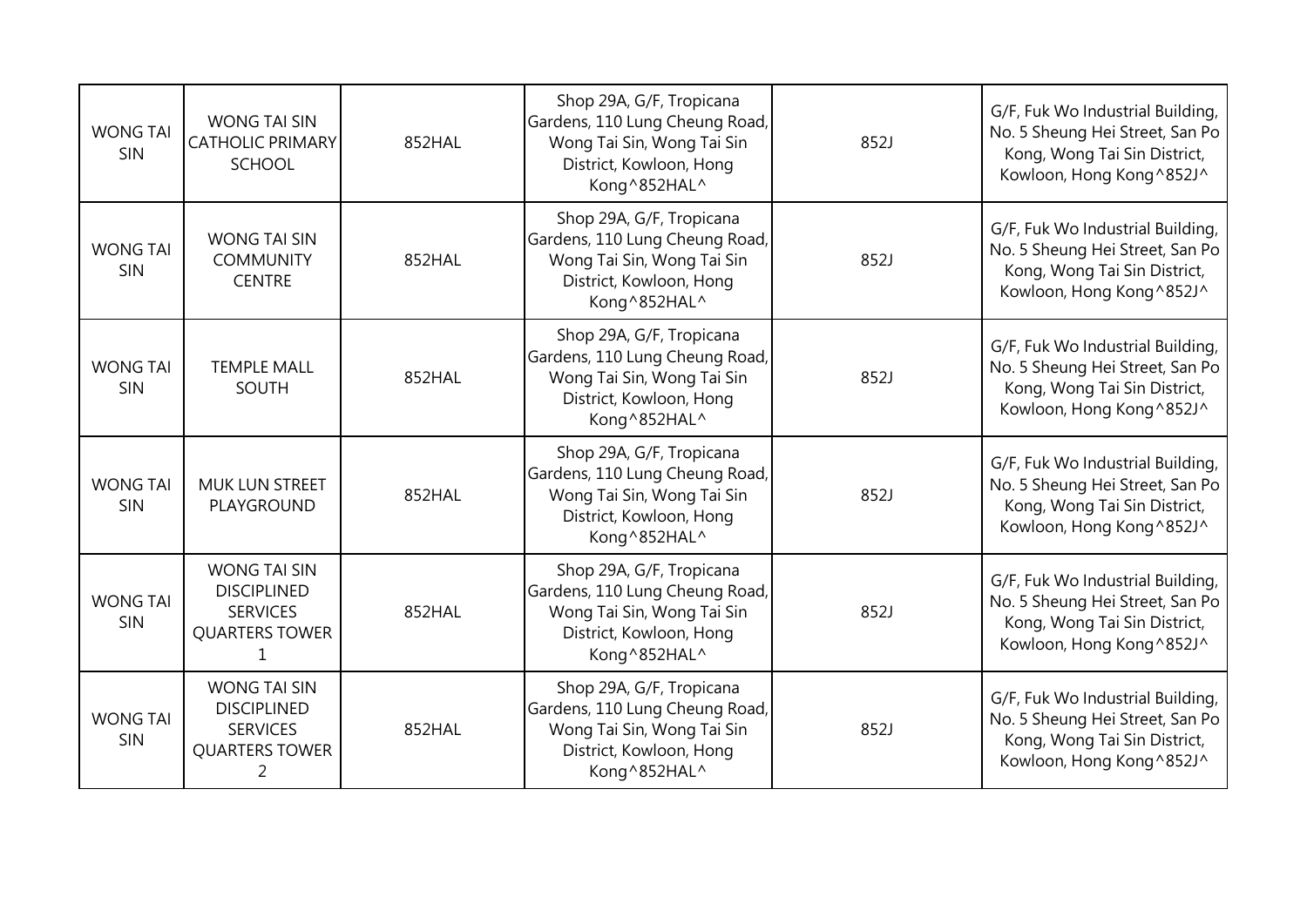| <b>WONG TAI</b><br>SIN | <b>WONG TAI SIN</b><br><b>CATHOLIC PRIMARY</b><br><b>SCHOOL</b>                            | 852HAL | Shop 29A, G/F, Tropicana<br>Gardens, 110 Lung Cheung Road,<br>Wong Tai Sin, Wong Tai Sin<br>District, Kowloon, Hong<br>Kong^852HAL^ | 852J | G/F, Fuk Wo Industrial Building,<br>No. 5 Sheung Hei Street, San Po<br>Kong, Wong Tai Sin District,<br>Kowloon, Hong Kong^852J^ |
|------------------------|--------------------------------------------------------------------------------------------|--------|-------------------------------------------------------------------------------------------------------------------------------------|------|---------------------------------------------------------------------------------------------------------------------------------|
| <b>WONG TAI</b><br>SIN | <b>WONG TAI SIN</b><br><b>COMMUNITY</b><br><b>CENTRE</b>                                   | 852HAL | Shop 29A, G/F, Tropicana<br>Gardens, 110 Lung Cheung Road,<br>Wong Tai Sin, Wong Tai Sin<br>District, Kowloon, Hong<br>Kong^852HAL^ | 852J | G/F, Fuk Wo Industrial Building,<br>No. 5 Sheung Hei Street, San Po<br>Kong, Wong Tai Sin District,<br>Kowloon, Hong Kong^852J^ |
| <b>WONG TAI</b><br>SIN | <b>TEMPLE MALL</b><br>SOUTH                                                                | 852HAL | Shop 29A, G/F, Tropicana<br>Gardens, 110 Lung Cheung Road,<br>Wong Tai Sin, Wong Tai Sin<br>District, Kowloon, Hong<br>Kong^852HAL^ | 852J | G/F, Fuk Wo Industrial Building,<br>No. 5 Sheung Hei Street, San Po<br>Kong, Wong Tai Sin District,<br>Kowloon, Hong Kong^852J^ |
| <b>WONG TAI</b><br>SIN | <b>MUK LUN STREET</b><br>PLAYGROUND                                                        | 852HAL | Shop 29A, G/F, Tropicana<br>Gardens, 110 Lung Cheung Road,<br>Wong Tai Sin, Wong Tai Sin<br>District, Kowloon, Hong<br>Kong^852HAL^ | 852J | G/F, Fuk Wo Industrial Building,<br>No. 5 Sheung Hei Street, San Po<br>Kong, Wong Tai Sin District,<br>Kowloon, Hong Kong^852J^ |
| <b>WONG TAI</b><br>SIN | <b>WONG TAI SIN</b><br><b>DISCIPLINED</b><br><b>SERVICES</b><br><b>QUARTERS TOWER</b><br>1 | 852HAL | Shop 29A, G/F, Tropicana<br>Gardens, 110 Lung Cheung Road,<br>Wong Tai Sin, Wong Tai Sin<br>District, Kowloon, Hong<br>Kong^852HAL^ | 852J | G/F, Fuk Wo Industrial Building,<br>No. 5 Sheung Hei Street, San Po<br>Kong, Wong Tai Sin District,<br>Kowloon, Hong Kong^852J^ |
| <b>WONG TAI</b><br>SIN | <b>WONG TAI SIN</b><br><b>DISCIPLINED</b><br><b>SERVICES</b><br><b>QUARTERS TOWER</b><br>2 | 852HAL | Shop 29A, G/F, Tropicana<br>Gardens, 110 Lung Cheung Road,<br>Wong Tai Sin, Wong Tai Sin<br>District, Kowloon, Hong<br>Kong^852HAL^ | 852J | G/F, Fuk Wo Industrial Building,<br>No. 5 Sheung Hei Street, San Po<br>Kong, Wong Tai Sin District,<br>Kowloon, Hong Kong^852J^ |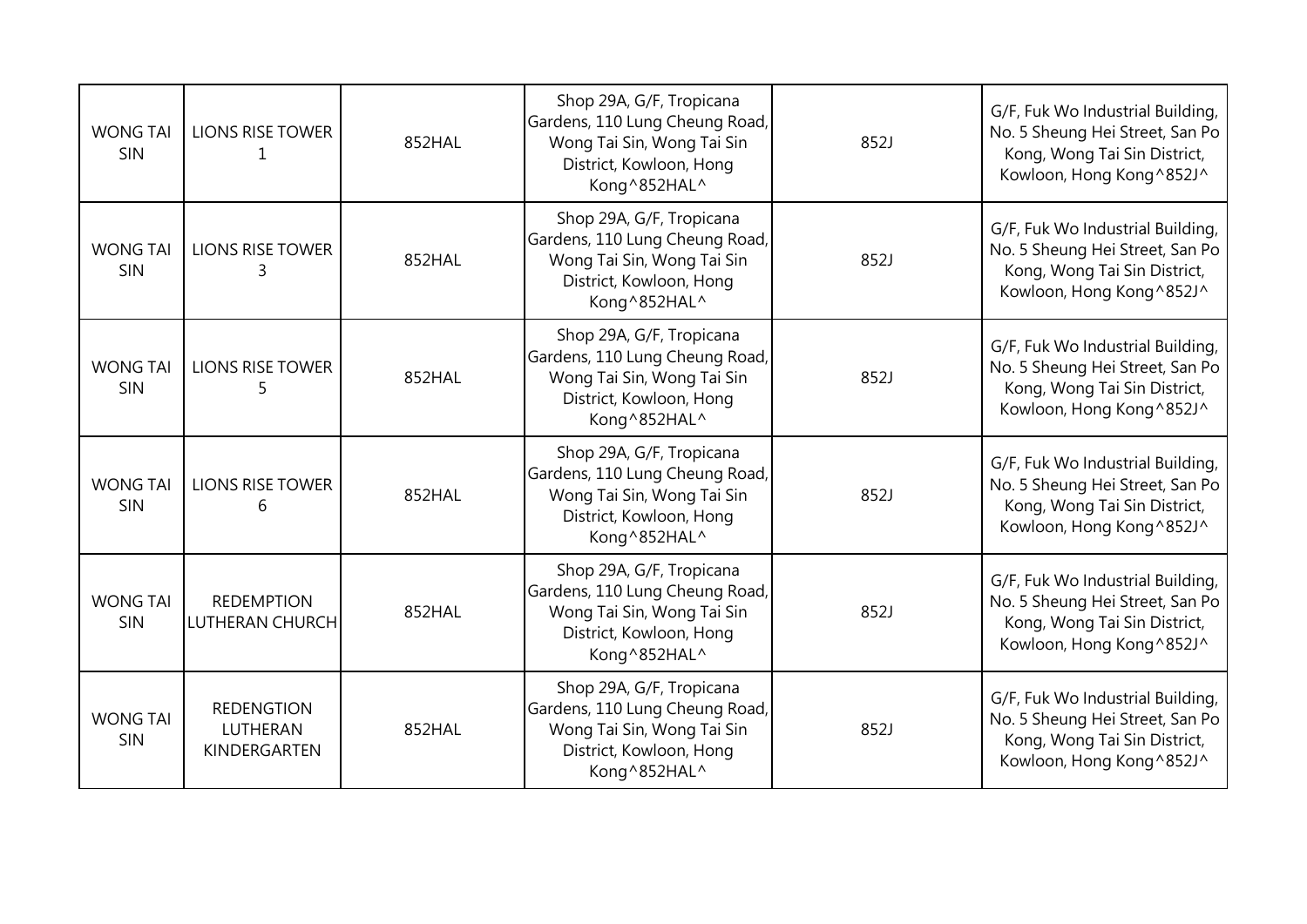| <b>WONG TAI</b><br>SIN | <b>LIONS RISE TOWER</b><br>1                  | 852HAL | Shop 29A, G/F, Tropicana<br>Gardens, 110 Lung Cheung Road,<br>Wong Tai Sin, Wong Tai Sin<br>District, Kowloon, Hong<br>Kong^852HAL^ | 852J | G/F, Fuk Wo Industrial Building,<br>No. 5 Sheung Hei Street, San Po<br>Kong, Wong Tai Sin District,<br>Kowloon, Hong Kong^852J^ |
|------------------------|-----------------------------------------------|--------|-------------------------------------------------------------------------------------------------------------------------------------|------|---------------------------------------------------------------------------------------------------------------------------------|
| <b>WONG TAI</b><br>SIN | <b>LIONS RISE TOWER</b><br>3                  | 852HAL | Shop 29A, G/F, Tropicana<br>Gardens, 110 Lung Cheung Road,<br>Wong Tai Sin, Wong Tai Sin<br>District, Kowloon, Hong<br>Kong^852HAL^ | 852J | G/F, Fuk Wo Industrial Building,<br>No. 5 Sheung Hei Street, San Po<br>Kong, Wong Tai Sin District,<br>Kowloon, Hong Kong^852J^ |
| <b>WONG TAI</b><br>SIN | <b>LIONS RISE TOWER</b><br>5                  | 852HAL | Shop 29A, G/F, Tropicana<br>Gardens, 110 Lung Cheung Road,<br>Wong Tai Sin, Wong Tai Sin<br>District, Kowloon, Hong<br>Kong^852HAL^ | 852J | G/F, Fuk Wo Industrial Building,<br>No. 5 Sheung Hei Street, San Po<br>Kong, Wong Tai Sin District,<br>Kowloon, Hong Kong^852J^ |
| <b>WONG TAI</b><br>SIN | <b>LIONS RISE TOWER</b><br>6                  | 852HAL | Shop 29A, G/F, Tropicana<br>Gardens, 110 Lung Cheung Road,<br>Wong Tai Sin, Wong Tai Sin<br>District, Kowloon, Hong<br>Kong^852HAL^ | 852J | G/F, Fuk Wo Industrial Building,<br>No. 5 Sheung Hei Street, San Po<br>Kong, Wong Tai Sin District,<br>Kowloon, Hong Kong^852J^ |
| <b>WONG TAI</b><br>SIN | <b>REDEMPTION</b><br>LUTHERAN CHURCH          | 852HAL | Shop 29A, G/F, Tropicana<br>Gardens, 110 Lung Cheung Road,<br>Wong Tai Sin, Wong Tai Sin<br>District, Kowloon, Hong<br>Kong^852HAL^ | 852J | G/F, Fuk Wo Industrial Building,<br>No. 5 Sheung Hei Street, San Po<br>Kong, Wong Tai Sin District,<br>Kowloon, Hong Kong^852J^ |
| <b>WONG TAI</b><br>SIN | <b>REDENGTION</b><br>LUTHERAN<br>KINDERGARTEN | 852HAL | Shop 29A, G/F, Tropicana<br>Gardens, 110 Lung Cheung Road,<br>Wong Tai Sin, Wong Tai Sin<br>District, Kowloon, Hong<br>Kong^852HAL^ | 852J | G/F, Fuk Wo Industrial Building,<br>No. 5 Sheung Hei Street, San Po<br>Kong, Wong Tai Sin District,<br>Kowloon, Hong Kong^852J^ |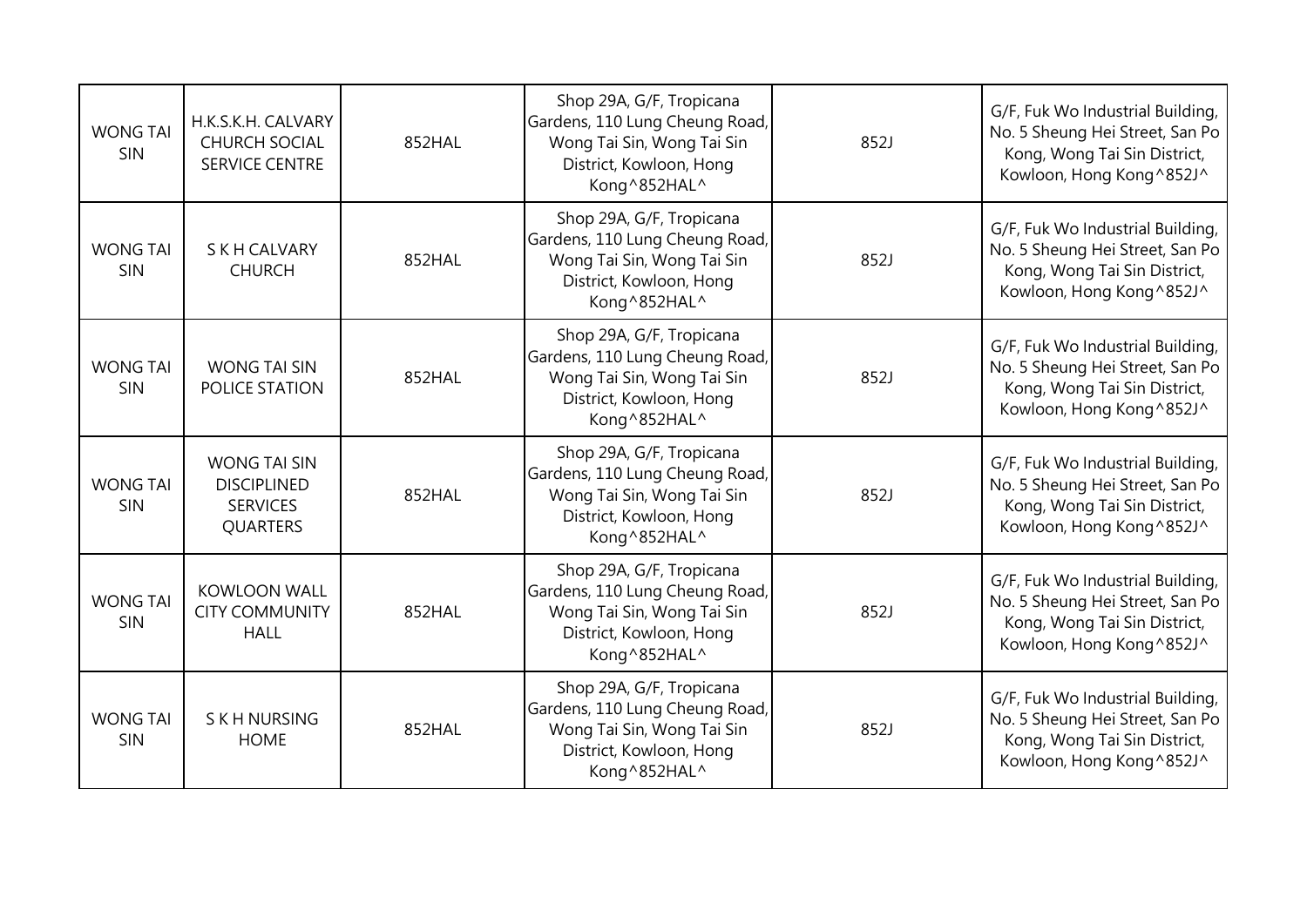| <b>WONG TAI</b><br>SIN | H.K.S.K.H. CALVARY<br><b>CHURCH SOCIAL</b><br><b>SERVICE CENTRE</b>             | 852HAL | Shop 29A, G/F, Tropicana<br>Gardens, 110 Lung Cheung Road,<br>Wong Tai Sin, Wong Tai Sin<br>District, Kowloon, Hong<br>Kong^852HAL^ | 852J | G/F, Fuk Wo Industrial Building,<br>No. 5 Sheung Hei Street, San Po<br>Kong, Wong Tai Sin District,<br>Kowloon, Hong Kong^852J^ |
|------------------------|---------------------------------------------------------------------------------|--------|-------------------------------------------------------------------------------------------------------------------------------------|------|---------------------------------------------------------------------------------------------------------------------------------|
| <b>WONG TAI</b><br>SIN | <b>SKH CALVARY</b><br><b>CHURCH</b>                                             | 852HAL | Shop 29A, G/F, Tropicana<br>Gardens, 110 Lung Cheung Road,<br>Wong Tai Sin, Wong Tai Sin<br>District, Kowloon, Hong<br>Kong^852HAL^ | 852J | G/F, Fuk Wo Industrial Building,<br>No. 5 Sheung Hei Street, San Po<br>Kong, Wong Tai Sin District,<br>Kowloon, Hong Kong^852J^ |
| <b>WONG TAI</b><br>SIN | <b>WONG TAI SIN</b><br>POLICE STATION                                           | 852HAL | Shop 29A, G/F, Tropicana<br>Gardens, 110 Lung Cheung Road,<br>Wong Tai Sin, Wong Tai Sin<br>District, Kowloon, Hong<br>Kong^852HAL^ | 852J | G/F, Fuk Wo Industrial Building,<br>No. 5 Sheung Hei Street, San Po<br>Kong, Wong Tai Sin District,<br>Kowloon, Hong Kong^852J^ |
| <b>WONG TAI</b><br>SIN | <b>WONG TAI SIN</b><br><b>DISCIPLINED</b><br><b>SERVICES</b><br><b>QUARTERS</b> | 852HAL | Shop 29A, G/F, Tropicana<br>Gardens, 110 Lung Cheung Road,<br>Wong Tai Sin, Wong Tai Sin<br>District, Kowloon, Hong<br>Kong^852HAL^ | 852J | G/F, Fuk Wo Industrial Building,<br>No. 5 Sheung Hei Street, San Po<br>Kong, Wong Tai Sin District,<br>Kowloon, Hong Kong^852J^ |
| <b>WONG TAI</b><br>SIN | <b>KOWLOON WALL</b><br><b>CITY COMMUNITY</b><br><b>HALL</b>                     | 852HAL | Shop 29A, G/F, Tropicana<br>Gardens, 110 Lung Cheung Road,<br>Wong Tai Sin, Wong Tai Sin<br>District, Kowloon, Hong<br>Kong^852HAL^ | 852J | G/F, Fuk Wo Industrial Building,<br>No. 5 Sheung Hei Street, San Po<br>Kong, Wong Tai Sin District,<br>Kowloon, Hong Kong^852J^ |
| <b>WONG TAI</b><br>SIN | S K H NURSING<br><b>HOME</b>                                                    | 852HAL | Shop 29A, G/F, Tropicana<br>Gardens, 110 Lung Cheung Road,<br>Wong Tai Sin, Wong Tai Sin<br>District, Kowloon, Hong<br>Kong^852HAL^ | 852J | G/F, Fuk Wo Industrial Building,<br>No. 5 Sheung Hei Street, San Po<br>Kong, Wong Tai Sin District,<br>Kowloon, Hong Kong^852J^ |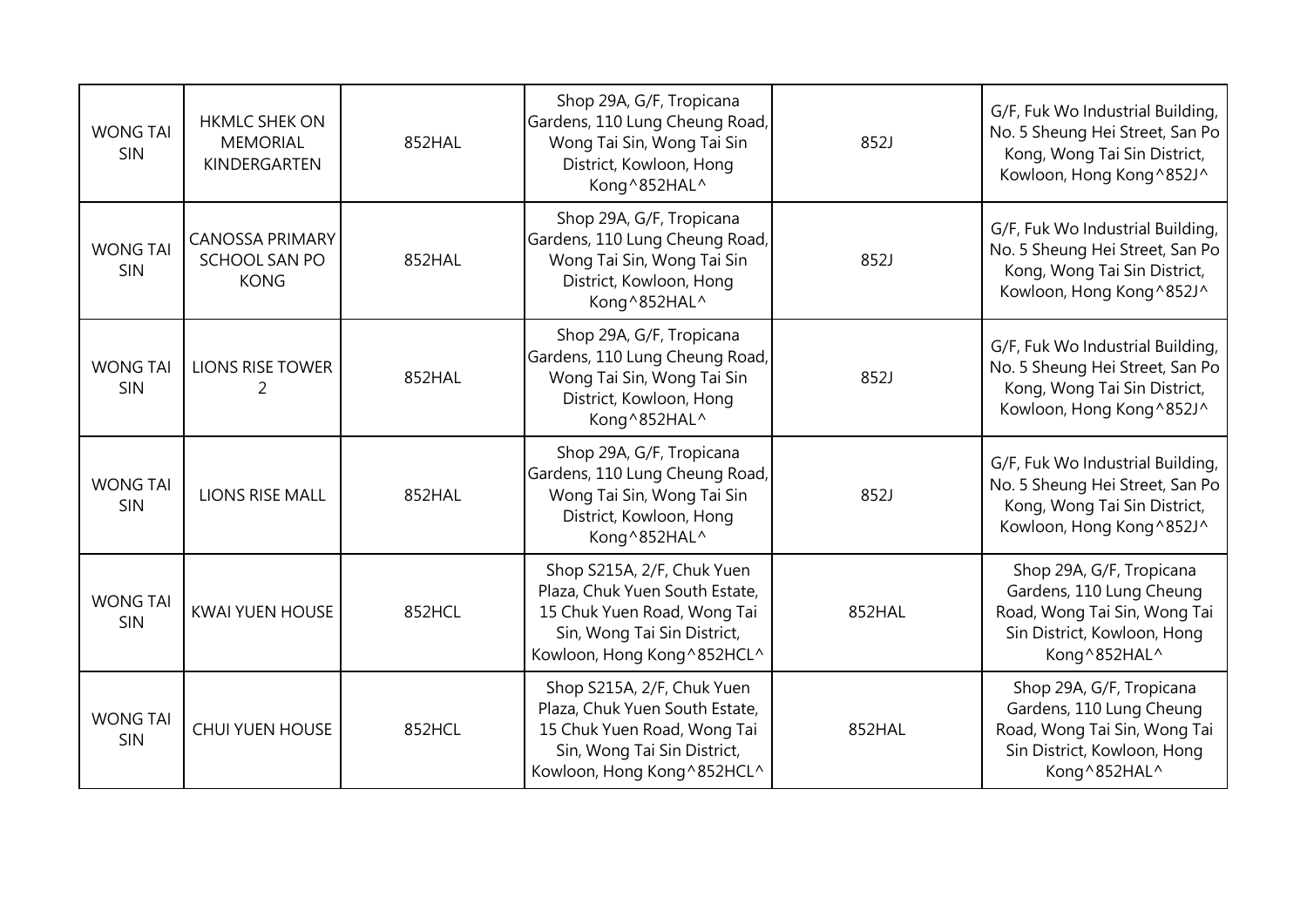| <b>WONG TAI</b><br><b>SIN</b> | <b>HKMLC SHEK ON</b><br><b>MEMORIAL</b><br>KINDERGARTEN | 852HAL | Shop 29A, G/F, Tropicana<br>Gardens, 110 Lung Cheung Road,<br>Wong Tai Sin, Wong Tai Sin<br>District, Kowloon, Hong<br>Kong^852HAL^                       | 852J   | G/F, Fuk Wo Industrial Building,<br>No. 5 Sheung Hei Street, San Po<br>Kong, Wong Tai Sin District,<br>Kowloon, Hong Kong^852J^     |
|-------------------------------|---------------------------------------------------------|--------|-----------------------------------------------------------------------------------------------------------------------------------------------------------|--------|-------------------------------------------------------------------------------------------------------------------------------------|
| <b>WONG TAI</b><br><b>SIN</b> | <b>CANOSSA PRIMARY</b><br>SCHOOL SAN PO<br><b>KONG</b>  | 852HAL | Shop 29A, G/F, Tropicana<br>Gardens, 110 Lung Cheung Road,<br>Wong Tai Sin, Wong Tai Sin<br>District, Kowloon, Hong<br>Kong^852HAL^                       | 852J   | G/F, Fuk Wo Industrial Building,<br>No. 5 Sheung Hei Street, San Po<br>Kong, Wong Tai Sin District,<br>Kowloon, Hong Kong^852J^     |
| <b>WONG TAI</b><br>SIN        | <b>LIONS RISE TOWER</b><br>2                            | 852HAL | Shop 29A, G/F, Tropicana<br>Gardens, 110 Lung Cheung Road,<br>Wong Tai Sin, Wong Tai Sin<br>District, Kowloon, Hong<br>Kong^852HAL^                       | 852J   | G/F, Fuk Wo Industrial Building,<br>No. 5 Sheung Hei Street, San Po<br>Kong, Wong Tai Sin District,<br>Kowloon, Hong Kong^852J^     |
| <b>WONG TAI</b><br>SIN        | <b>LIONS RISE MALL</b>                                  | 852HAL | Shop 29A, G/F, Tropicana<br>Gardens, 110 Lung Cheung Road,<br>Wong Tai Sin, Wong Tai Sin<br>District, Kowloon, Hong<br>Kong^852HAL^                       | 852J   | G/F, Fuk Wo Industrial Building,<br>No. 5 Sheung Hei Street, San Po<br>Kong, Wong Tai Sin District,<br>Kowloon, Hong Kong^852J^     |
| <b>WONG TAI</b><br><b>SIN</b> | <b>KWAI YUEN HOUSE</b>                                  | 852HCL | Shop S215A, 2/F, Chuk Yuen<br>Plaza, Chuk Yuen South Estate,<br>15 Chuk Yuen Road, Wong Tai<br>Sin, Wong Tai Sin District,<br>Kowloon, Hong Kong ^852HCL^ | 852HAL | Shop 29A, G/F, Tropicana<br>Gardens, 110 Lung Cheung<br>Road, Wong Tai Sin, Wong Tai<br>Sin District, Kowloon, Hong<br>Kong^852HAL^ |
| <b>WONG TAI</b><br><b>SIN</b> | <b>CHUI YUEN HOUSE</b>                                  | 852HCL | Shop S215A, 2/F, Chuk Yuen<br>Plaza, Chuk Yuen South Estate,<br>15 Chuk Yuen Road, Wong Tai<br>Sin, Wong Tai Sin District,<br>Kowloon, Hong Kong^852HCL^  | 852HAL | Shop 29A, G/F, Tropicana<br>Gardens, 110 Lung Cheung<br>Road, Wong Tai Sin, Wong Tai<br>Sin District, Kowloon, Hong<br>Kong^852HAL^ |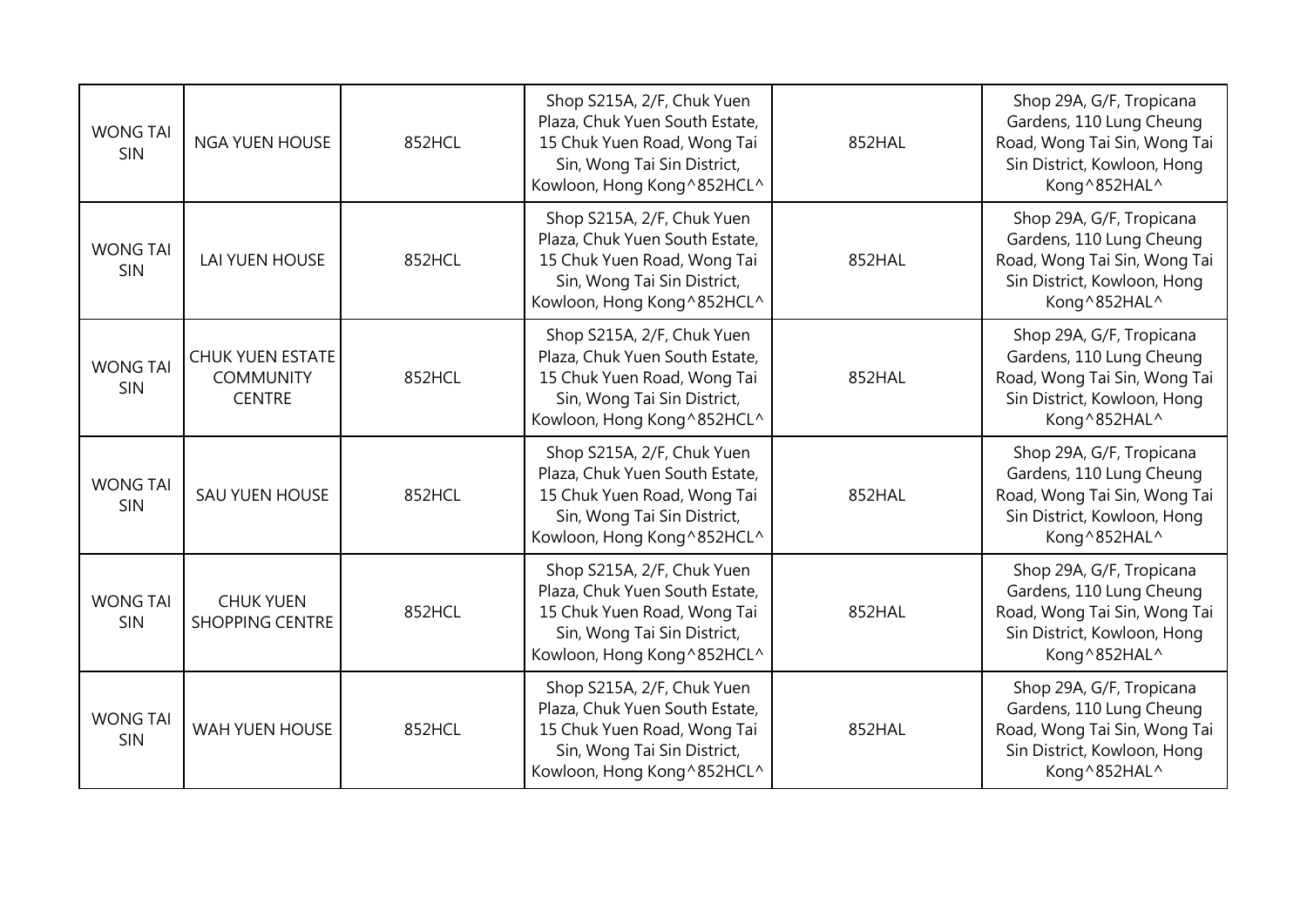| <b>WONG TAI</b><br>SIN | <b>NGA YUEN HOUSE</b>                                        | 852HCL | Shop S215A, 2/F, Chuk Yuen<br>Plaza, Chuk Yuen South Estate,<br>15 Chuk Yuen Road, Wong Tai<br>Sin, Wong Tai Sin District,<br>Kowloon, Hong Kong^852HCL^  | 852HAL | Shop 29A, G/F, Tropicana<br>Gardens, 110 Lung Cheung<br>Road, Wong Tai Sin, Wong Tai<br>Sin District, Kowloon, Hong<br>Kong^852HAL^ |
|------------------------|--------------------------------------------------------------|--------|-----------------------------------------------------------------------------------------------------------------------------------------------------------|--------|-------------------------------------------------------------------------------------------------------------------------------------|
| <b>WONG TAI</b><br>SIN | <b>LAI YUEN HOUSE</b>                                        | 852HCL | Shop S215A, 2/F, Chuk Yuen<br>Plaza, Chuk Yuen South Estate,<br>15 Chuk Yuen Road, Wong Tai<br>Sin, Wong Tai Sin District,<br>Kowloon, Hong Kong ^852HCL^ | 852HAL | Shop 29A, G/F, Tropicana<br>Gardens, 110 Lung Cheung<br>Road, Wong Tai Sin, Wong Tai<br>Sin District, Kowloon, Hong<br>Kong^852HAL^ |
| <b>WONG TAI</b><br>SIN | <b>CHUK YUEN ESTATE</b><br><b>COMMUNITY</b><br><b>CENTRE</b> | 852HCL | Shop S215A, 2/F, Chuk Yuen<br>Plaza, Chuk Yuen South Estate,<br>15 Chuk Yuen Road, Wong Tai<br>Sin, Wong Tai Sin District,<br>Kowloon, Hong Kong ^852HCL^ | 852HAL | Shop 29A, G/F, Tropicana<br>Gardens, 110 Lung Cheung<br>Road, Wong Tai Sin, Wong Tai<br>Sin District, Kowloon, Hong<br>Kong^852HAL^ |
| <b>WONG TAI</b><br>SIN | SAU YUEN HOUSE                                               | 852HCL | Shop S215A, 2/F, Chuk Yuen<br>Plaza, Chuk Yuen South Estate,<br>15 Chuk Yuen Road, Wong Tai<br>Sin, Wong Tai Sin District,<br>Kowloon, Hong Kong ^852HCL^ | 852HAL | Shop 29A, G/F, Tropicana<br>Gardens, 110 Lung Cheung<br>Road, Wong Tai Sin, Wong Tai<br>Sin District, Kowloon, Hong<br>Kong^852HAL^ |
| <b>WONG TAI</b><br>SIN | <b>CHUK YUEN</b><br><b>SHOPPING CENTRE</b>                   | 852HCL | Shop S215A, 2/F, Chuk Yuen<br>Plaza, Chuk Yuen South Estate,<br>15 Chuk Yuen Road, Wong Tai<br>Sin, Wong Tai Sin District,<br>Kowloon, Hong Kong ^852HCL^ | 852HAL | Shop 29A, G/F, Tropicana<br>Gardens, 110 Lung Cheung<br>Road, Wong Tai Sin, Wong Tai<br>Sin District, Kowloon, Hong<br>Kong^852HAL^ |
| <b>WONG TAI</b><br>SIN | <b>WAH YUEN HOUSE</b>                                        | 852HCL | Shop S215A, 2/F, Chuk Yuen<br>Plaza, Chuk Yuen South Estate,<br>15 Chuk Yuen Road, Wong Tai<br>Sin, Wong Tai Sin District,<br>Kowloon, Hong Kong^852HCL^  | 852HAL | Shop 29A, G/F, Tropicana<br>Gardens, 110 Lung Cheung<br>Road, Wong Tai Sin, Wong Tai<br>Sin District, Kowloon, Hong<br>Kong^852HAL^ |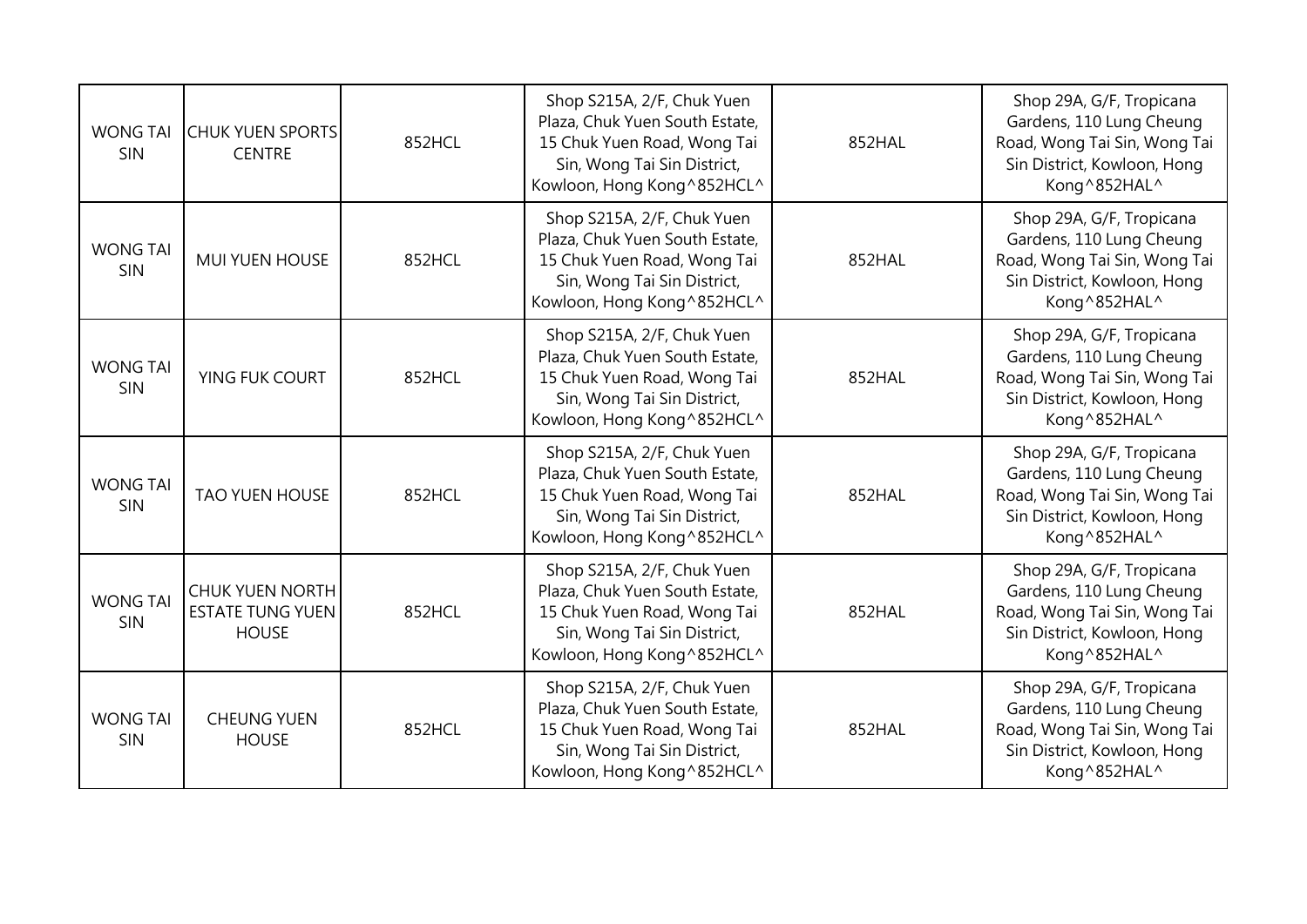| <b>WONG TAI</b><br>SIN | <b>CHUK YUEN SPORTS</b><br><b>CENTRE</b>                   | 852HCL | Shop S215A, 2/F, Chuk Yuen<br>Plaza, Chuk Yuen South Estate,<br>15 Chuk Yuen Road, Wong Tai<br>Sin, Wong Tai Sin District,<br>Kowloon, Hong Kong^852HCL^  | 852HAL | Shop 29A, G/F, Tropicana<br>Gardens, 110 Lung Cheung<br>Road, Wong Tai Sin, Wong Tai<br>Sin District, Kowloon, Hong<br>Kong^852HAL^ |
|------------------------|------------------------------------------------------------|--------|-----------------------------------------------------------------------------------------------------------------------------------------------------------|--------|-------------------------------------------------------------------------------------------------------------------------------------|
| <b>WONG TAI</b><br>SIN | <b>MUI YUEN HOUSE</b>                                      | 852HCL | Shop S215A, 2/F, Chuk Yuen<br>Plaza, Chuk Yuen South Estate,<br>15 Chuk Yuen Road, Wong Tai<br>Sin, Wong Tai Sin District,<br>Kowloon, Hong Kong^852HCL^  | 852HAL | Shop 29A, G/F, Tropicana<br>Gardens, 110 Lung Cheung<br>Road, Wong Tai Sin, Wong Tai<br>Sin District, Kowloon, Hong<br>Kong^852HAL^ |
| <b>WONG TAI</b><br>SIN | YING FUK COURT                                             | 852HCL | Shop S215A, 2/F, Chuk Yuen<br>Plaza, Chuk Yuen South Estate,<br>15 Chuk Yuen Road, Wong Tai<br>Sin, Wong Tai Sin District,<br>Kowloon, Hong Kong^852HCL^  | 852HAL | Shop 29A, G/F, Tropicana<br>Gardens, 110 Lung Cheung<br>Road, Wong Tai Sin, Wong Tai<br>Sin District, Kowloon, Hong<br>Kong^852HAL^ |
| <b>WONG TAI</b><br>SIN | <b>TAO YUEN HOUSE</b>                                      | 852HCL | Shop S215A, 2/F, Chuk Yuen<br>Plaza, Chuk Yuen South Estate,<br>15 Chuk Yuen Road, Wong Tai<br>Sin, Wong Tai Sin District,<br>Kowloon, Hong Kong ^852HCL^ | 852HAL | Shop 29A, G/F, Tropicana<br>Gardens, 110 Lung Cheung<br>Road, Wong Tai Sin, Wong Tai<br>Sin District, Kowloon, Hong<br>Kong^852HAL^ |
| <b>WONG TAI</b><br>SIN | CHUK YUEN NORTH<br><b>ESTATE TUNG YUEN</b><br><b>HOUSE</b> | 852HCL | Shop S215A, 2/F, Chuk Yuen<br>Plaza, Chuk Yuen South Estate,<br>15 Chuk Yuen Road, Wong Tai<br>Sin, Wong Tai Sin District,<br>Kowloon, Hong Kong^852HCL^  | 852HAL | Shop 29A, G/F, Tropicana<br>Gardens, 110 Lung Cheung<br>Road, Wong Tai Sin, Wong Tai<br>Sin District, Kowloon, Hong<br>Kong^852HAL^ |
| <b>WONG TAI</b><br>SIN | <b>CHEUNG YUEN</b><br><b>HOUSE</b>                         | 852HCL | Shop S215A, 2/F, Chuk Yuen<br>Plaza, Chuk Yuen South Estate,<br>15 Chuk Yuen Road, Wong Tai<br>Sin, Wong Tai Sin District,<br>Kowloon, Hong Kong^852HCL^  | 852HAL | Shop 29A, G/F, Tropicana<br>Gardens, 110 Lung Cheung<br>Road, Wong Tai Sin, Wong Tai<br>Sin District, Kowloon, Hong<br>Kong^852HAL^ |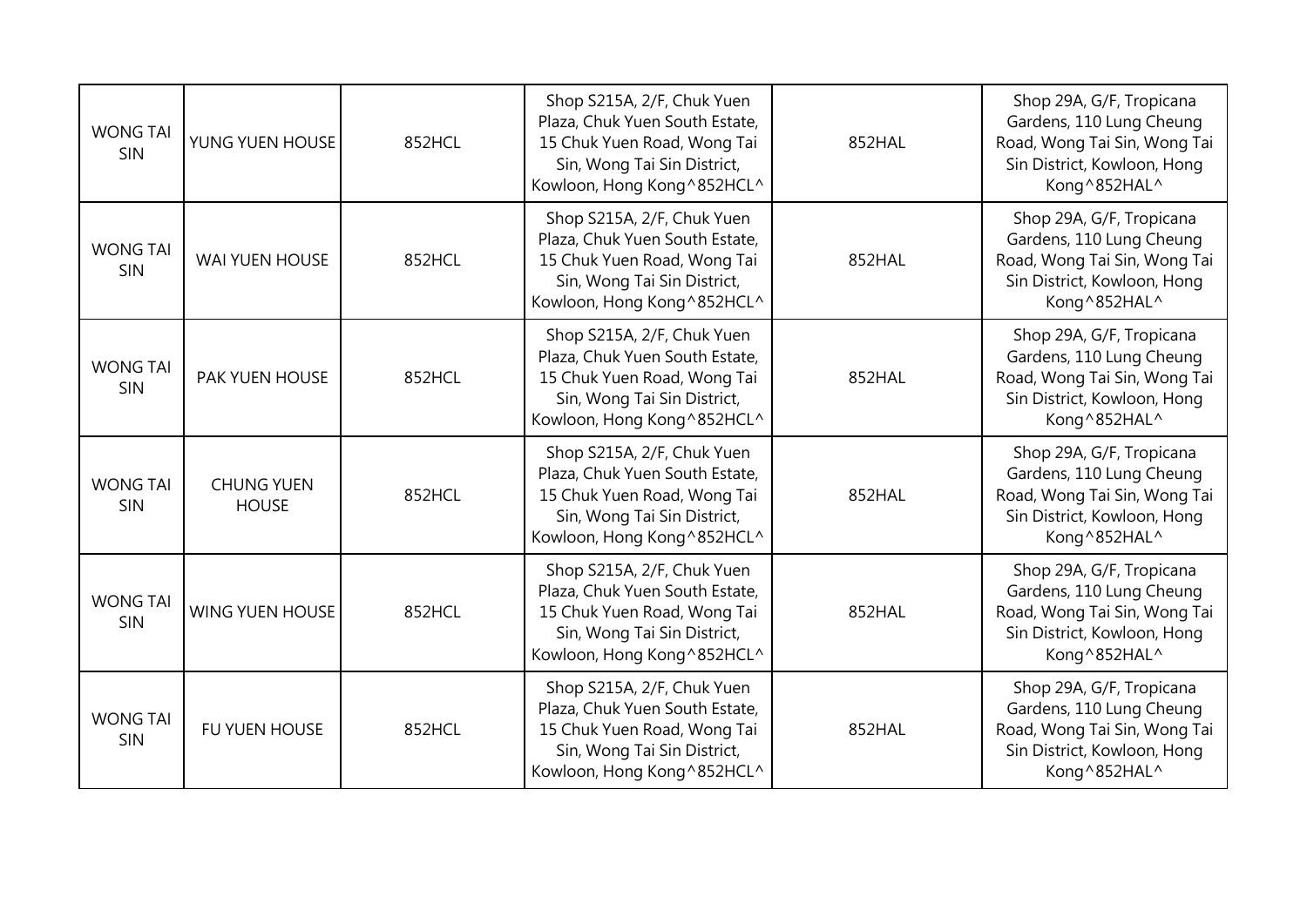| <b>WONG TAI</b><br>SIN        | YUNG YUEN HOUSE                   | 852HCL | Shop S215A, 2/F, Chuk Yuen<br>Plaza, Chuk Yuen South Estate,<br>15 Chuk Yuen Road, Wong Tai<br>Sin, Wong Tai Sin District,<br>Kowloon, Hong Kong^852HCL^  | 852HAL | Shop 29A, G/F, Tropicana<br>Gardens, 110 Lung Cheung<br>Road, Wong Tai Sin, Wong Tai<br>Sin District, Kowloon, Hong<br>Kong^852HAL^ |
|-------------------------------|-----------------------------------|--------|-----------------------------------------------------------------------------------------------------------------------------------------------------------|--------|-------------------------------------------------------------------------------------------------------------------------------------|
| <b>WONG TAI</b><br><b>SIN</b> | WAI YUEN HOUSE                    | 852HCL | Shop S215A, 2/F, Chuk Yuen<br>Plaza, Chuk Yuen South Estate,<br>15 Chuk Yuen Road, Wong Tai<br>Sin, Wong Tai Sin District,<br>Kowloon, Hong Kong^852HCL^  | 852HAL | Shop 29A, G/F, Tropicana<br>Gardens, 110 Lung Cheung<br>Road, Wong Tai Sin, Wong Tai<br>Sin District, Kowloon, Hong<br>Kong^852HAL^ |
| <b>WONG TAI</b><br>SIN        | <b>PAK YUEN HOUSE</b>             | 852HCL | Shop S215A, 2/F, Chuk Yuen<br>Plaza, Chuk Yuen South Estate,<br>15 Chuk Yuen Road, Wong Tai<br>Sin, Wong Tai Sin District,<br>Kowloon, Hong Kong^852HCL^  | 852HAL | Shop 29A, G/F, Tropicana<br>Gardens, 110 Lung Cheung<br>Road, Wong Tai Sin, Wong Tai<br>Sin District, Kowloon, Hong<br>Kong^852HAL^ |
| <b>WONG TAI</b><br>SIN        | <b>CHUNG YUEN</b><br><b>HOUSE</b> | 852HCL | Shop S215A, 2/F, Chuk Yuen<br>Plaza, Chuk Yuen South Estate,<br>15 Chuk Yuen Road, Wong Tai<br>Sin, Wong Tai Sin District,<br>Kowloon, Hong Kong ^852HCL^ | 852HAL | Shop 29A, G/F, Tropicana<br>Gardens, 110 Lung Cheung<br>Road, Wong Tai Sin, Wong Tai<br>Sin District, Kowloon, Hong<br>Kong^852HAL^ |
| <b>WONG TAI</b><br>SIN        | <b>WING YUEN HOUSE</b>            | 852HCL | Shop S215A, 2/F, Chuk Yuen<br>Plaza, Chuk Yuen South Estate,<br>15 Chuk Yuen Road, Wong Tai<br>Sin, Wong Tai Sin District,<br>Kowloon, Hong Kong ^852HCL^ | 852HAL | Shop 29A, G/F, Tropicana<br>Gardens, 110 Lung Cheung<br>Road, Wong Tai Sin, Wong Tai<br>Sin District, Kowloon, Hong<br>Kong^852HAL^ |
| <b>WONG TAI</b><br>SIN        | FU YUEN HOUSE                     | 852HCL | Shop S215A, 2/F, Chuk Yuen<br>Plaza, Chuk Yuen South Estate,<br>15 Chuk Yuen Road, Wong Tai<br>Sin, Wong Tai Sin District,<br>Kowloon, Hong Kong^852HCL^  | 852HAL | Shop 29A, G/F, Tropicana<br>Gardens, 110 Lung Cheung<br>Road, Wong Tai Sin, Wong Tai<br>Sin District, Kowloon, Hong<br>Kong^852HAL^ |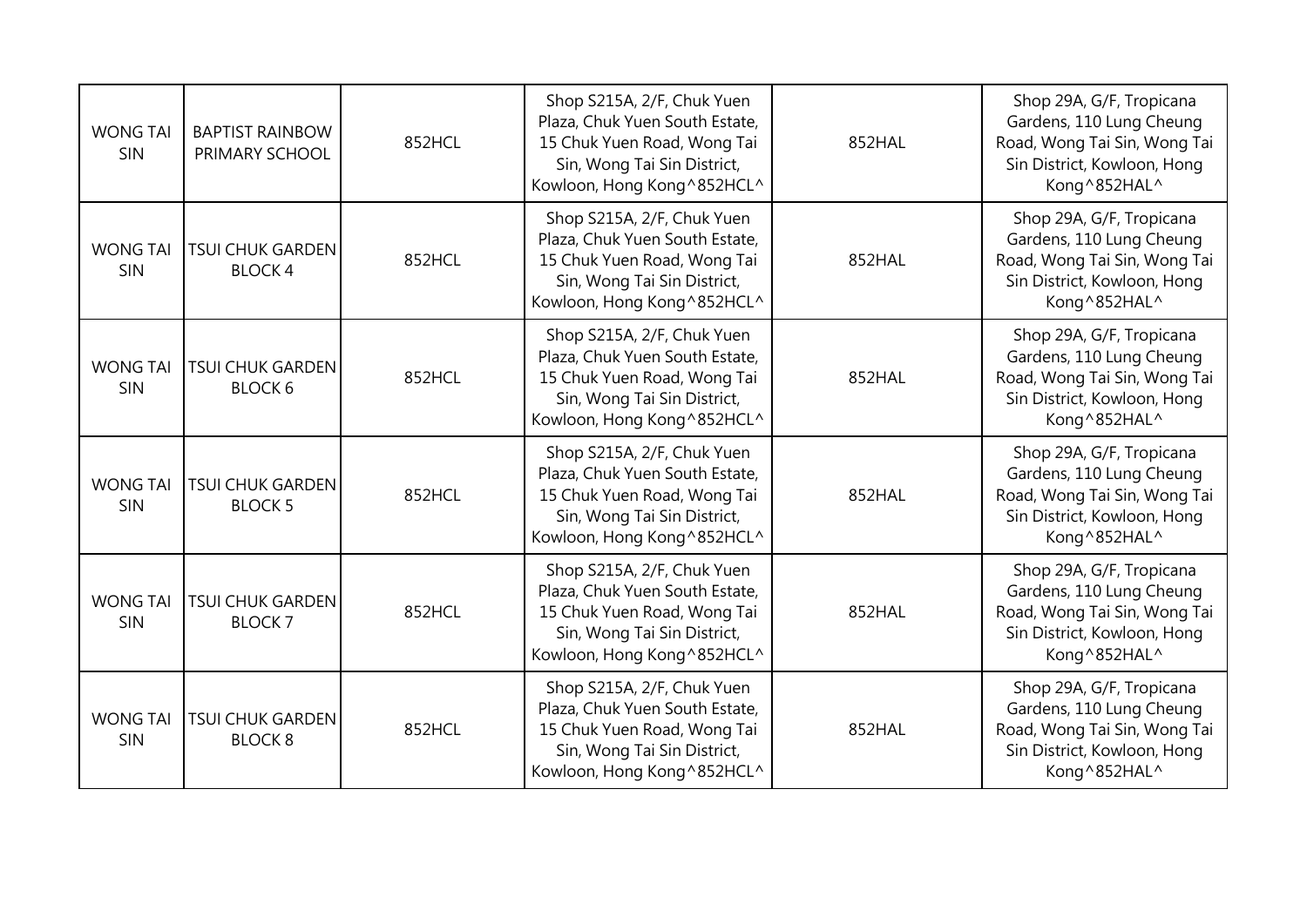| <b>WONG TAI</b><br>SIN        | <b>BAPTIST RAINBOW</b><br>PRIMARY SCHOOL  | 852HCL | Shop S215A, 2/F, Chuk Yuen<br>Plaza, Chuk Yuen South Estate,<br>15 Chuk Yuen Road, Wong Tai<br>Sin, Wong Tai Sin District,<br>Kowloon, Hong Kong ^852HCL^ | 852HAL | Shop 29A, G/F, Tropicana<br>Gardens, 110 Lung Cheung<br>Road, Wong Tai Sin, Wong Tai<br>Sin District, Kowloon, Hong<br>Kong^852HAL^ |
|-------------------------------|-------------------------------------------|--------|-----------------------------------------------------------------------------------------------------------------------------------------------------------|--------|-------------------------------------------------------------------------------------------------------------------------------------|
| <b>WONG TAI</b><br>SIN        | <b>TSUI CHUK GARDEN</b><br><b>BLOCK4</b>  | 852HCL | Shop S215A, 2/F, Chuk Yuen<br>Plaza, Chuk Yuen South Estate,<br>15 Chuk Yuen Road, Wong Tai<br>Sin, Wong Tai Sin District,<br>Kowloon, Hong Kong ^852HCL^ | 852HAL | Shop 29A, G/F, Tropicana<br>Gardens, 110 Lung Cheung<br>Road, Wong Tai Sin, Wong Tai<br>Sin District, Kowloon, Hong<br>Kong^852HAL^ |
| <b>WONG TAI</b><br>SIN        | <b>TSUI CHUK GARDEN</b><br><b>BLOCK 6</b> | 852HCL | Shop S215A, 2/F, Chuk Yuen<br>Plaza, Chuk Yuen South Estate,<br>15 Chuk Yuen Road, Wong Tai<br>Sin, Wong Tai Sin District,<br>Kowloon, Hong Kong^852HCL^  | 852HAL | Shop 29A, G/F, Tropicana<br>Gardens, 110 Lung Cheung<br>Road, Wong Tai Sin, Wong Tai<br>Sin District, Kowloon, Hong<br>Kong^852HAL^ |
| <b>WONG TAI</b><br>SIN        | <b>TSUI CHUK GARDEN</b><br><b>BLOCK 5</b> | 852HCL | Shop S215A, 2/F, Chuk Yuen<br>Plaza, Chuk Yuen South Estate,<br>15 Chuk Yuen Road, Wong Tai<br>Sin, Wong Tai Sin District,<br>Kowloon, Hong Kong^852HCL^  | 852HAL | Shop 29A, G/F, Tropicana<br>Gardens, 110 Lung Cheung<br>Road, Wong Tai Sin, Wong Tai<br>Sin District, Kowloon, Hong<br>Kong^852HAL^ |
| <b>WONG TAI</b><br>SIN        | <b>TSUI CHUK GARDEN</b><br><b>BLOCK7</b>  | 852HCL | Shop S215A, 2/F, Chuk Yuen<br>Plaza, Chuk Yuen South Estate,<br>15 Chuk Yuen Road, Wong Tai<br>Sin, Wong Tai Sin District,<br>Kowloon, Hong Kong^852HCL^  | 852HAL | Shop 29A, G/F, Tropicana<br>Gardens, 110 Lung Cheung<br>Road, Wong Tai Sin, Wong Tai<br>Sin District, Kowloon, Hong<br>Kong^852HAL^ |
| <b>WONG TAI</b><br><b>SIN</b> | <b>TSUI CHUK GARDEN</b><br><b>BLOCK 8</b> | 852HCL | Shop S215A, 2/F, Chuk Yuen<br>Plaza, Chuk Yuen South Estate,<br>15 Chuk Yuen Road, Wong Tai<br>Sin, Wong Tai Sin District,<br>Kowloon, Hong Kong^852HCL^  | 852HAL | Shop 29A, G/F, Tropicana<br>Gardens, 110 Lung Cheung<br>Road, Wong Tai Sin, Wong Tai<br>Sin District, Kowloon, Hong<br>Kong^852HAL^ |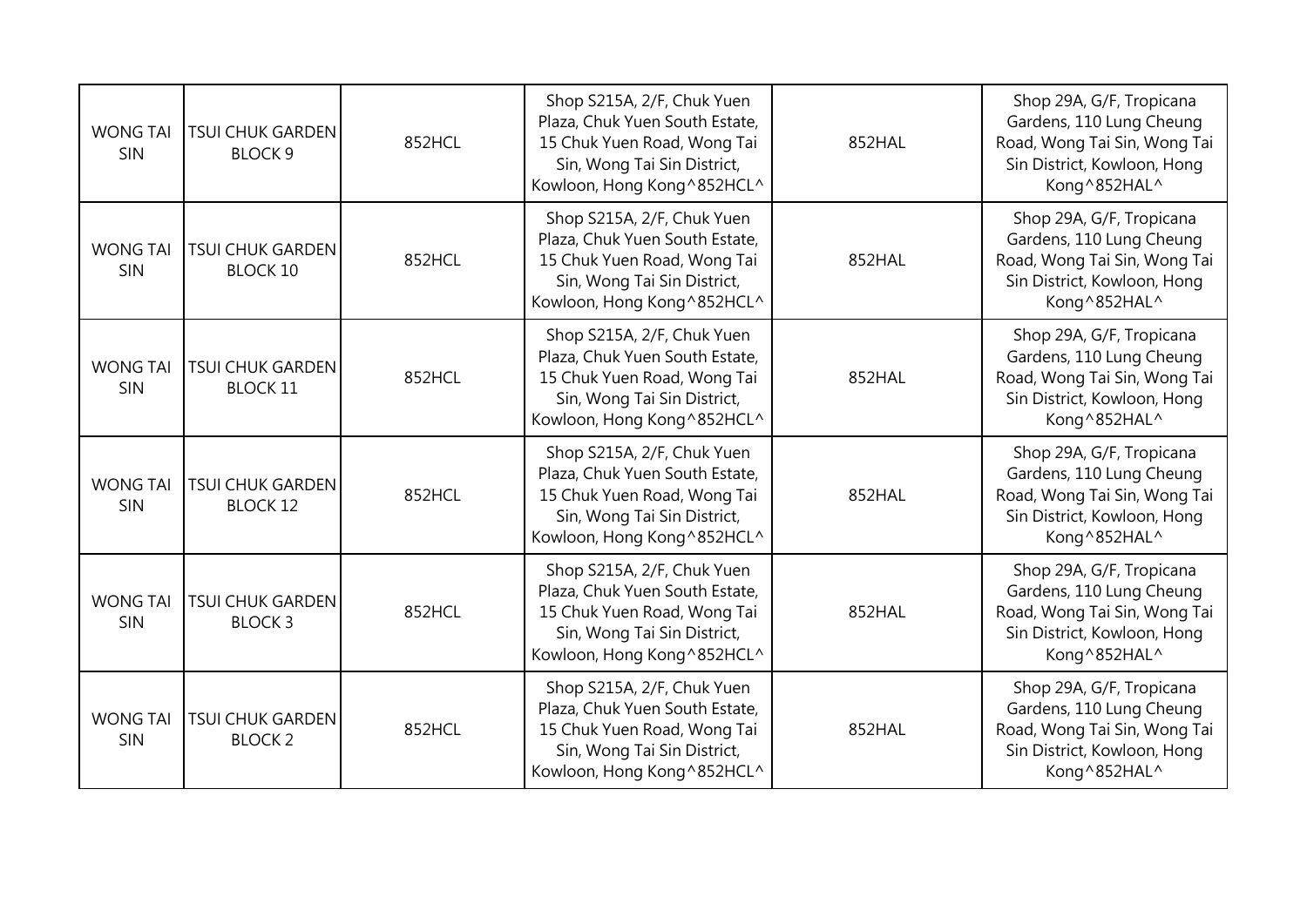| <b>WONG TAI</b><br>SIN | <b>TSUI CHUK GARDEN</b><br><b>BLOCK 9</b>  | 852HCL | Shop S215A, 2/F, Chuk Yuen<br>Plaza, Chuk Yuen South Estate,<br>15 Chuk Yuen Road, Wong Tai<br>Sin, Wong Tai Sin District,<br>Kowloon, Hong Kong ^852HCL^ | 852HAL | Shop 29A, G/F, Tropicana<br>Gardens, 110 Lung Cheung<br>Road, Wong Tai Sin, Wong Tai<br>Sin District, Kowloon, Hong<br>Kong^852HAL^ |
|------------------------|--------------------------------------------|--------|-----------------------------------------------------------------------------------------------------------------------------------------------------------|--------|-------------------------------------------------------------------------------------------------------------------------------------|
| <b>WONG TA</b><br>SIN  | <b>TSUI CHUK GARDEN</b><br><b>BLOCK 10</b> | 852HCL | Shop S215A, 2/F, Chuk Yuen<br>Plaza, Chuk Yuen South Estate,<br>15 Chuk Yuen Road, Wong Tai<br>Sin, Wong Tai Sin District,<br>Kowloon, Hong Kong ^852HCL^ | 852HAL | Shop 29A, G/F, Tropicana<br>Gardens, 110 Lung Cheung<br>Road, Wong Tai Sin, Wong Tai<br>Sin District, Kowloon, Hong<br>Kong^852HAL^ |
| <b>WONG TA</b><br>SIN  | <b>TSUI CHUK GARDEN</b><br><b>BLOCK 11</b> | 852HCL | Shop S215A, 2/F, Chuk Yuen<br>Plaza, Chuk Yuen South Estate,<br>15 Chuk Yuen Road, Wong Tai<br>Sin, Wong Tai Sin District,<br>Kowloon, Hong Kong ^852HCL^ | 852HAL | Shop 29A, G/F, Tropicana<br>Gardens, 110 Lung Cheung<br>Road, Wong Tai Sin, Wong Tai<br>Sin District, Kowloon, Hong<br>Kong^852HAL^ |
| <b>WONG TA</b><br>SIN  | <b>TSUI CHUK GARDEN</b><br><b>BLOCK 12</b> | 852HCL | Shop S215A, 2/F, Chuk Yuen<br>Plaza, Chuk Yuen South Estate,<br>15 Chuk Yuen Road, Wong Tai<br>Sin, Wong Tai Sin District,<br>Kowloon, Hong Kong ^852HCL^ | 852HAL | Shop 29A, G/F, Tropicana<br>Gardens, 110 Lung Cheung<br>Road, Wong Tai Sin, Wong Tai<br>Sin District, Kowloon, Hong<br>Kong^852HAL^ |
| <b>WONG TAI</b><br>SIN | <b>TSUI CHUK GARDEN</b><br><b>BLOCK3</b>   | 852HCL | Shop S215A, 2/F, Chuk Yuen<br>Plaza, Chuk Yuen South Estate,<br>15 Chuk Yuen Road, Wong Tai<br>Sin, Wong Tai Sin District,<br>Kowloon, Hong Kong ^852HCL^ | 852HAL | Shop 29A, G/F, Tropicana<br>Gardens, 110 Lung Cheung<br>Road, Wong Tai Sin, Wong Tai<br>Sin District, Kowloon, Hong<br>Kong^852HAL^ |
| <b>WONG TAI</b><br>SIN | <b>TSUI CHUK GARDEN</b><br><b>BLOCK 2</b>  | 852HCL | Shop S215A, 2/F, Chuk Yuen<br>Plaza, Chuk Yuen South Estate,<br>15 Chuk Yuen Road, Wong Tai<br>Sin, Wong Tai Sin District,<br>Kowloon, Hong Kong^852HCL^  | 852HAL | Shop 29A, G/F, Tropicana<br>Gardens, 110 Lung Cheung<br>Road, Wong Tai Sin, Wong Tai<br>Sin District, Kowloon, Hong<br>Kong^852HAL^ |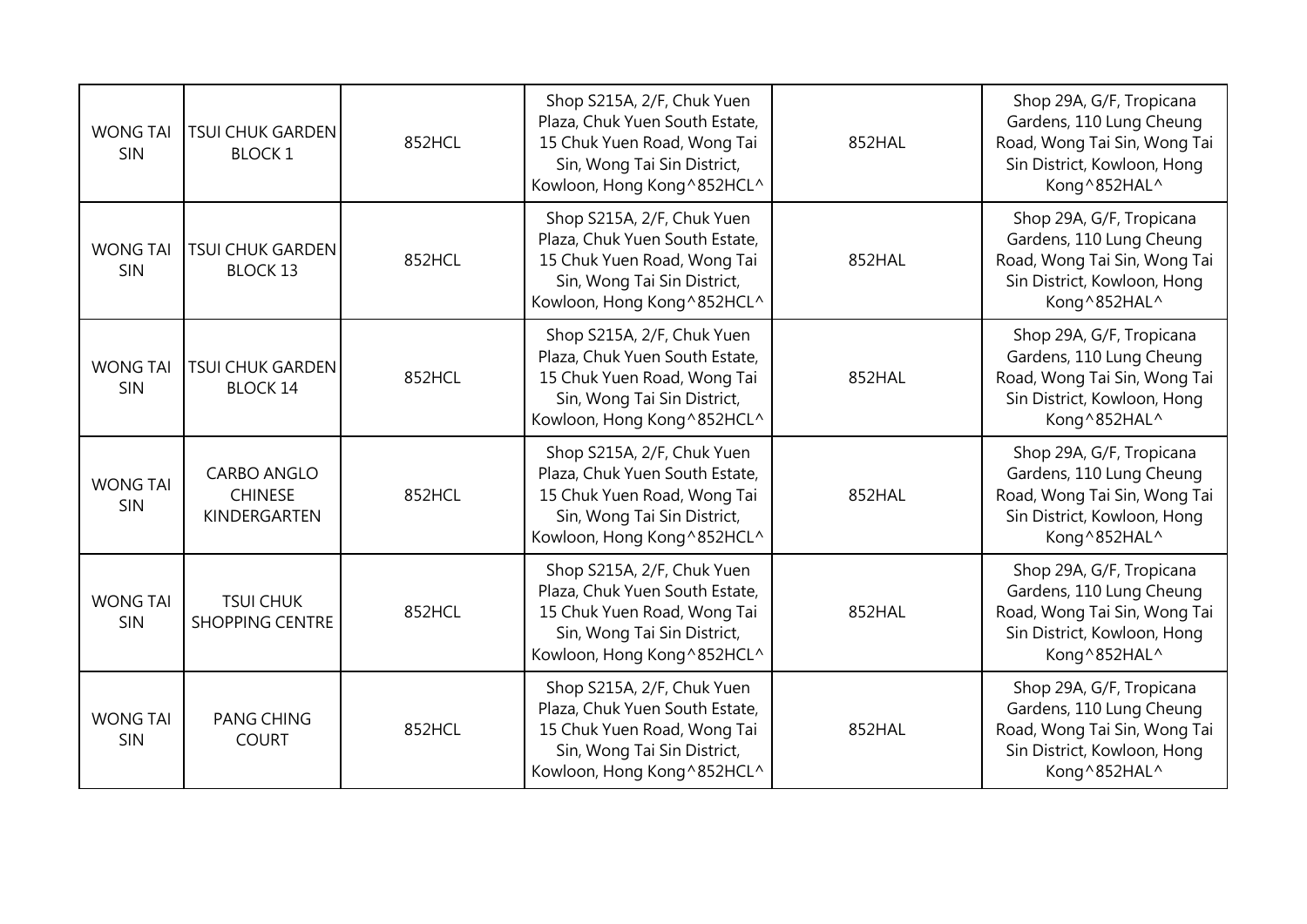| <b>WONG TAI</b><br>SIN | <b>TSUI CHUK GARDEN</b><br><b>BLOCK1</b>             | 852HCL | Shop S215A, 2/F, Chuk Yuen<br>Plaza, Chuk Yuen South Estate,<br>15 Chuk Yuen Road, Wong Tai<br>Sin, Wong Tai Sin District,<br>Kowloon, Hong Kong^852HCL^  | 852HAL | Shop 29A, G/F, Tropicana<br>Gardens, 110 Lung Cheung<br>Road, Wong Tai Sin, Wong Tai<br>Sin District, Kowloon, Hong<br>Kong^852HAL^ |
|------------------------|------------------------------------------------------|--------|-----------------------------------------------------------------------------------------------------------------------------------------------------------|--------|-------------------------------------------------------------------------------------------------------------------------------------|
| <b>WONG TAI</b><br>SIN | <b>TSUI CHUK GARDEN</b><br><b>BLOCK 13</b>           | 852HCL | Shop S215A, 2/F, Chuk Yuen<br>Plaza, Chuk Yuen South Estate,<br>15 Chuk Yuen Road, Wong Tai<br>Sin, Wong Tai Sin District,<br>Kowloon, Hong Kong ^852HCL^ | 852HAL | Shop 29A, G/F, Tropicana<br>Gardens, 110 Lung Cheung<br>Road, Wong Tai Sin, Wong Tai<br>Sin District, Kowloon, Hong<br>Kong^852HAL^ |
| <b>WONG TAI</b><br>SIN | <b>TSUI CHUK GARDEN</b><br><b>BLOCK 14</b>           | 852HCL | Shop S215A, 2/F, Chuk Yuen<br>Plaza, Chuk Yuen South Estate,<br>15 Chuk Yuen Road, Wong Tai<br>Sin, Wong Tai Sin District,<br>Kowloon, Hong Kong^852HCL^  | 852HAL | Shop 29A, G/F, Tropicana<br>Gardens, 110 Lung Cheung<br>Road, Wong Tai Sin, Wong Tai<br>Sin District, Kowloon, Hong<br>Kong^852HAL^ |
| <b>WONG TAI</b><br>SIN | <b>CARBO ANGLO</b><br><b>CHINESE</b><br>KINDERGARTEN | 852HCL | Shop S215A, 2/F, Chuk Yuen<br>Plaza, Chuk Yuen South Estate,<br>15 Chuk Yuen Road, Wong Tai<br>Sin, Wong Tai Sin District,<br>Kowloon, Hong Kong ^852HCL^ | 852HAL | Shop 29A, G/F, Tropicana<br>Gardens, 110 Lung Cheung<br>Road, Wong Tai Sin, Wong Tai<br>Sin District, Kowloon, Hong<br>Kong^852HAL^ |
| <b>WONG TAI</b><br>SIN | <b>TSUI CHUK</b><br><b>SHOPPING CENTRE</b>           | 852HCL | Shop S215A, 2/F, Chuk Yuen<br>Plaza, Chuk Yuen South Estate,<br>15 Chuk Yuen Road, Wong Tai<br>Sin, Wong Tai Sin District,<br>Kowloon, Hong Kong ^852HCL^ | 852HAL | Shop 29A, G/F, Tropicana<br>Gardens, 110 Lung Cheung<br>Road, Wong Tai Sin, Wong Tai<br>Sin District, Kowloon, Hong<br>Kong^852HAL^ |
| <b>WONG TAI</b><br>SIN | <b>PANG CHING</b><br><b>COURT</b>                    | 852HCL | Shop S215A, 2/F, Chuk Yuen<br>Plaza, Chuk Yuen South Estate,<br>15 Chuk Yuen Road, Wong Tai<br>Sin, Wong Tai Sin District,<br>Kowloon, Hong Kong^852HCL^  | 852HAL | Shop 29A, G/F, Tropicana<br>Gardens, 110 Lung Cheung<br>Road, Wong Tai Sin, Wong Tai<br>Sin District, Kowloon, Hong<br>Kong^852HAL^ |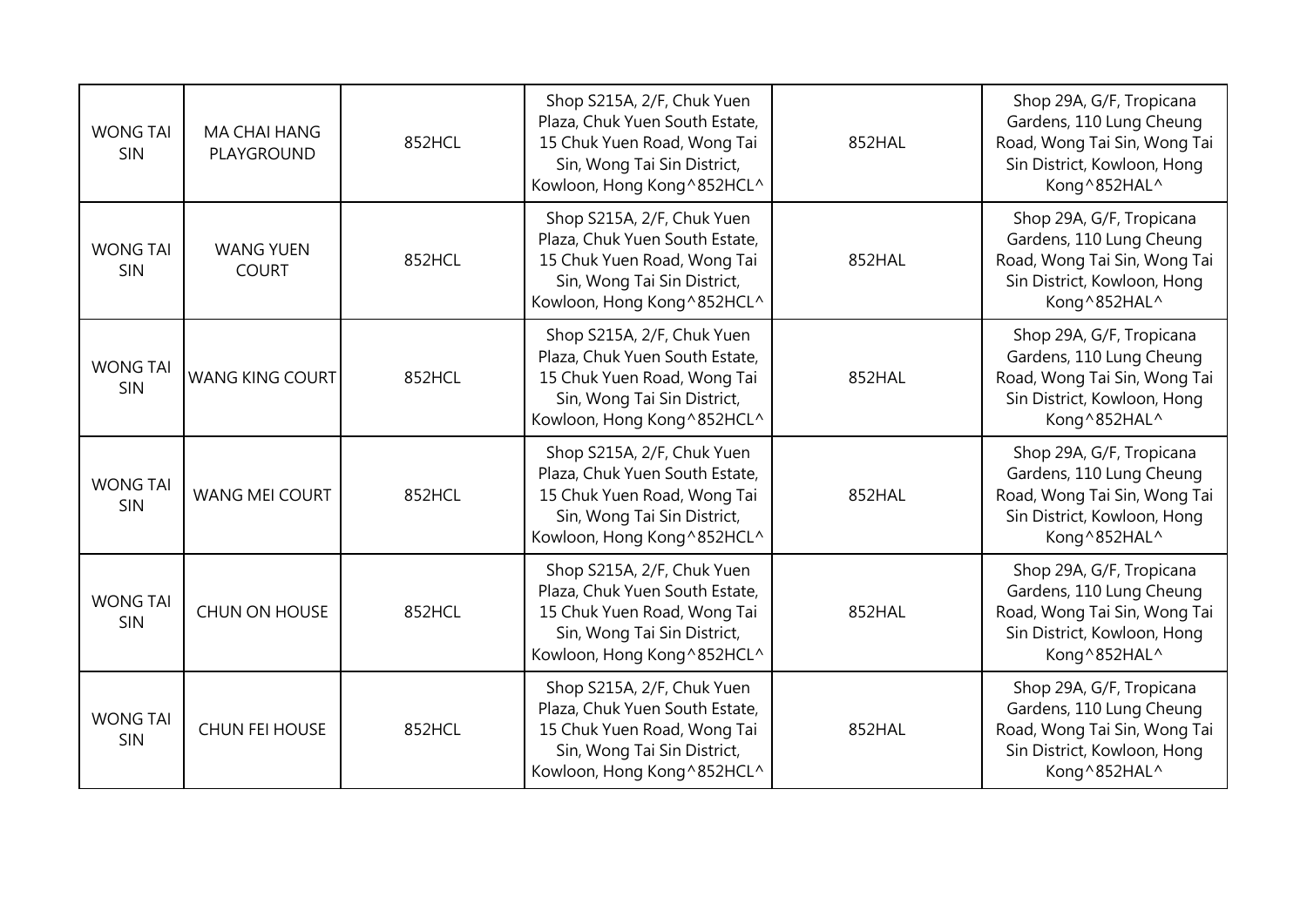| <b>WONG TAI</b><br>SIN        | MA CHAI HANG<br>PLAYGROUND       | 852HCL | Shop S215A, 2/F, Chuk Yuen<br>Plaza, Chuk Yuen South Estate,<br>15 Chuk Yuen Road, Wong Tai<br>Sin, Wong Tai Sin District,<br>Kowloon, Hong Kong ^852HCL^ | 852HAL | Shop 29A, G/F, Tropicana<br>Gardens, 110 Lung Cheung<br>Road, Wong Tai Sin, Wong Tai<br>Sin District, Kowloon, Hong<br>Kong^852HAL^ |
|-------------------------------|----------------------------------|--------|-----------------------------------------------------------------------------------------------------------------------------------------------------------|--------|-------------------------------------------------------------------------------------------------------------------------------------|
| <b>WONG TAI</b><br>SIN        | <b>WANG YUEN</b><br><b>COURT</b> | 852HCL | Shop S215A, 2/F, Chuk Yuen<br>Plaza, Chuk Yuen South Estate,<br>15 Chuk Yuen Road, Wong Tai<br>Sin, Wong Tai Sin District,<br>Kowloon, Hong Kong ^852HCL^ | 852HAL | Shop 29A, G/F, Tropicana<br>Gardens, 110 Lung Cheung<br>Road, Wong Tai Sin, Wong Tai<br>Sin District, Kowloon, Hong<br>Kong^852HAL^ |
| <b>WONG TAI</b><br>SIN        | <b>WANG KING COURT</b>           | 852HCL | Shop S215A, 2/F, Chuk Yuen<br>Plaza, Chuk Yuen South Estate,<br>15 Chuk Yuen Road, Wong Tai<br>Sin, Wong Tai Sin District,<br>Kowloon, Hong Kong ^852HCL^ | 852HAL | Shop 29A, G/F, Tropicana<br>Gardens, 110 Lung Cheung<br>Road, Wong Tai Sin, Wong Tai<br>Sin District, Kowloon, Hong<br>Kong^852HAL^ |
| <b>WONG TAI</b><br><b>SIN</b> | <b>WANG MEI COURT</b>            | 852HCL | Shop S215A, 2/F, Chuk Yuen<br>Plaza, Chuk Yuen South Estate,<br>15 Chuk Yuen Road, Wong Tai<br>Sin, Wong Tai Sin District,<br>Kowloon, Hong Kong ^852HCL^ | 852HAL | Shop 29A, G/F, Tropicana<br>Gardens, 110 Lung Cheung<br>Road, Wong Tai Sin, Wong Tai<br>Sin District, Kowloon, Hong<br>Kong^852HAL^ |
| <b>WONG TAI</b><br><b>SIN</b> | CHUN ON HOUSE                    | 852HCL | Shop S215A, 2/F, Chuk Yuen<br>Plaza, Chuk Yuen South Estate,<br>15 Chuk Yuen Road, Wong Tai<br>Sin, Wong Tai Sin District,<br>Kowloon, Hong Kong ^852HCL^ | 852HAL | Shop 29A, G/F, Tropicana<br>Gardens, 110 Lung Cheung<br>Road, Wong Tai Sin, Wong Tai<br>Sin District, Kowloon, Hong<br>Kong^852HAL^ |
| <b>WONG TAI</b><br><b>SIN</b> | <b>CHUN FEI HOUSE</b>            | 852HCL | Shop S215A, 2/F, Chuk Yuen<br>Plaza, Chuk Yuen South Estate,<br>15 Chuk Yuen Road, Wong Tai<br>Sin, Wong Tai Sin District,<br>Kowloon, Hong Kong^852HCL^  | 852HAL | Shop 29A, G/F, Tropicana<br>Gardens, 110 Lung Cheung<br>Road, Wong Tai Sin, Wong Tai<br>Sin District, Kowloon, Hong<br>Kong^852HAL^ |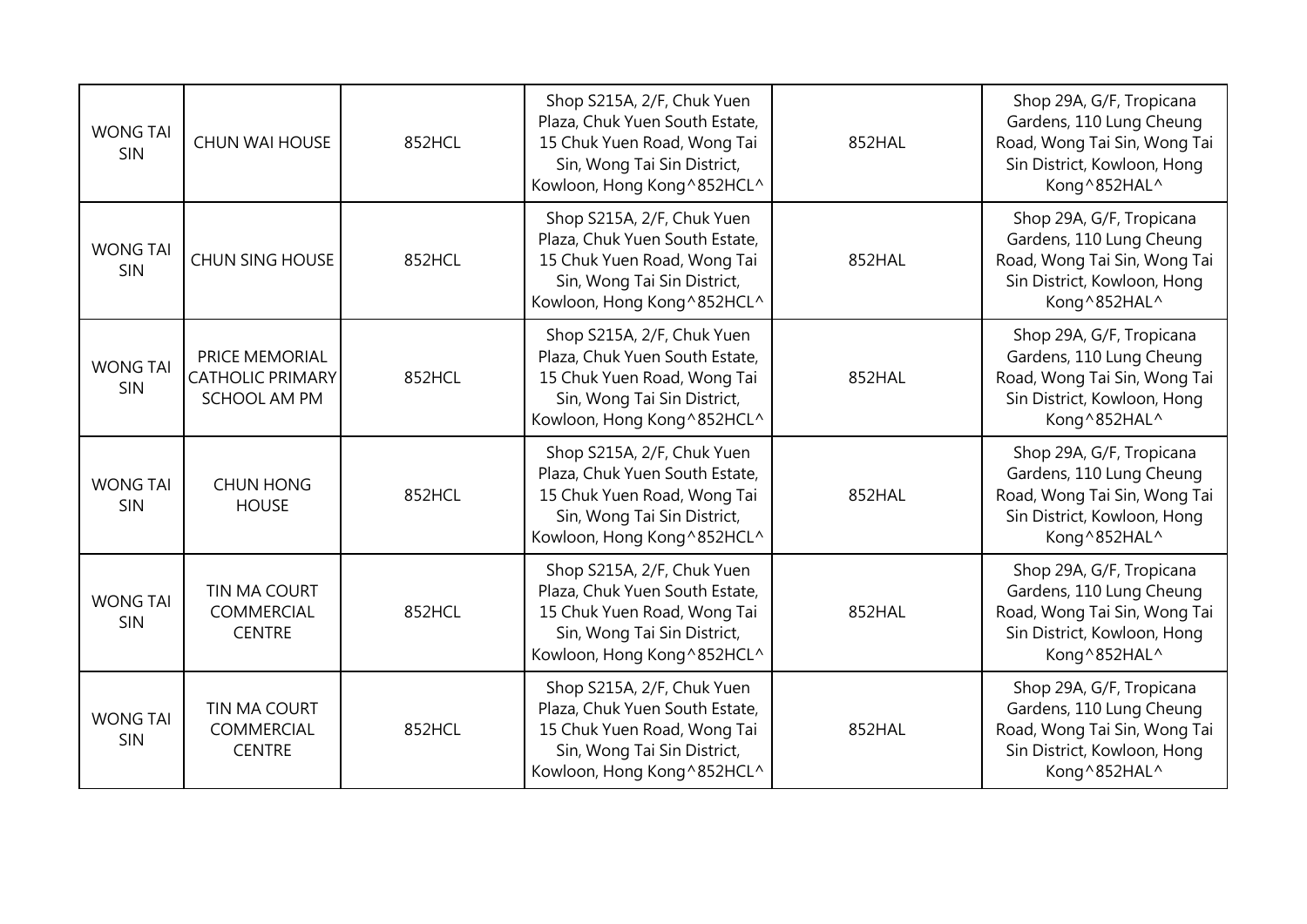| <b>WONG TAI</b><br>SIN        | <b>CHUN WAI HOUSE</b>                                            | 852HCL | Shop S215A, 2/F, Chuk Yuen<br>Plaza, Chuk Yuen South Estate,<br>15 Chuk Yuen Road, Wong Tai<br>Sin, Wong Tai Sin District,<br>Kowloon, Hong Kong ^852HCL^ | 852HAL | Shop 29A, G/F, Tropicana<br>Gardens, 110 Lung Cheung<br>Road, Wong Tai Sin, Wong Tai<br>Sin District, Kowloon, Hong<br>Kong^852HAL^ |
|-------------------------------|------------------------------------------------------------------|--------|-----------------------------------------------------------------------------------------------------------------------------------------------------------|--------|-------------------------------------------------------------------------------------------------------------------------------------|
| <b>WONG TAI</b><br><b>SIN</b> | <b>CHUN SING HOUSE</b>                                           | 852HCL | Shop S215A, 2/F, Chuk Yuen<br>Plaza, Chuk Yuen South Estate,<br>15 Chuk Yuen Road, Wong Tai<br>Sin, Wong Tai Sin District,<br>Kowloon, Hong Kong^852HCL^  | 852HAL | Shop 29A, G/F, Tropicana<br>Gardens, 110 Lung Cheung<br>Road, Wong Tai Sin, Wong Tai<br>Sin District, Kowloon, Hong<br>Kong^852HAL^ |
| <b>WONG TAI</b><br>SIN        | PRICE MEMORIAL<br><b>CATHOLIC PRIMARY</b><br><b>SCHOOL AM PM</b> | 852HCL | Shop S215A, 2/F, Chuk Yuen<br>Plaza, Chuk Yuen South Estate,<br>15 Chuk Yuen Road, Wong Tai<br>Sin, Wong Tai Sin District,<br>Kowloon, Hong Kong ^852HCL^ | 852HAL | Shop 29A, G/F, Tropicana<br>Gardens, 110 Lung Cheung<br>Road, Wong Tai Sin, Wong Tai<br>Sin District, Kowloon, Hong<br>Kong^852HAL^ |
| <b>WONG TAI</b><br>SIN        | <b>CHUN HONG</b><br><b>HOUSE</b>                                 | 852HCL | Shop S215A, 2/F, Chuk Yuen<br>Plaza, Chuk Yuen South Estate,<br>15 Chuk Yuen Road, Wong Tai<br>Sin, Wong Tai Sin District,<br>Kowloon, Hong Kong^852HCL^  | 852HAL | Shop 29A, G/F, Tropicana<br>Gardens, 110 Lung Cheung<br>Road, Wong Tai Sin, Wong Tai<br>Sin District, Kowloon, Hong<br>Kong^852HAL^ |
| <b>WONG TAI</b><br>SIN        | TIN MA COURT<br>COMMERCIAL<br><b>CENTRE</b>                      | 852HCL | Shop S215A, 2/F, Chuk Yuen<br>Plaza, Chuk Yuen South Estate,<br>15 Chuk Yuen Road, Wong Tai<br>Sin, Wong Tai Sin District,<br>Kowloon, Hong Kong ^852HCL^ | 852HAL | Shop 29A, G/F, Tropicana<br>Gardens, 110 Lung Cheung<br>Road, Wong Tai Sin, Wong Tai<br>Sin District, Kowloon, Hong<br>Kong^852HAL^ |
| <b>WONG TAI</b><br>SIN        | TIN MA COURT<br>COMMERCIAL<br><b>CENTRE</b>                      | 852HCL | Shop S215A, 2/F, Chuk Yuen<br>Plaza, Chuk Yuen South Estate,<br>15 Chuk Yuen Road, Wong Tai<br>Sin, Wong Tai Sin District,<br>Kowloon, Hong Kong^852HCL^  | 852HAL | Shop 29A, G/F, Tropicana<br>Gardens, 110 Lung Cheung<br>Road, Wong Tai Sin, Wong Tai<br>Sin District, Kowloon, Hong<br>Kong^852HAL^ |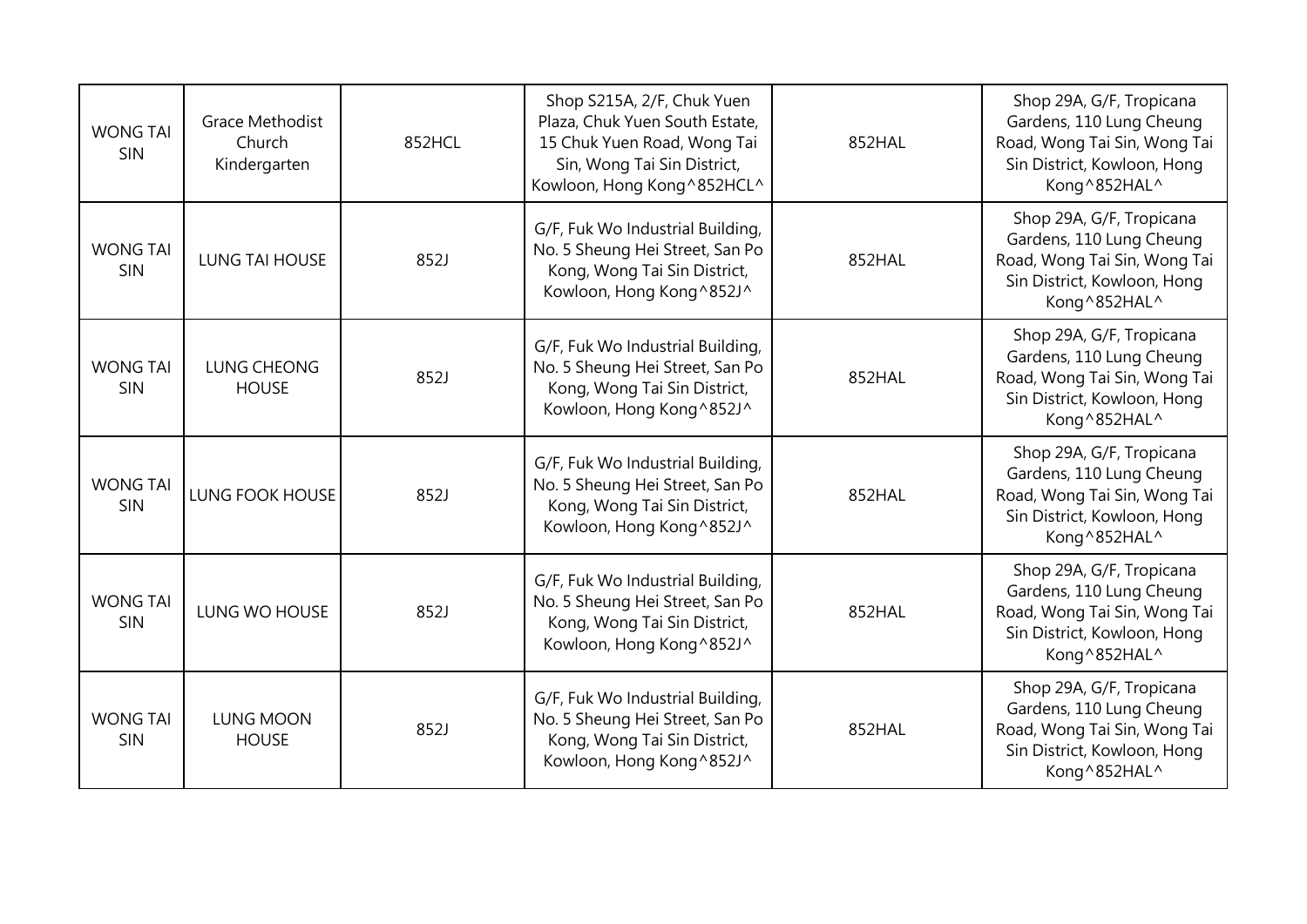| <b>WONG TAI</b><br><b>SIN</b> | <b>Grace Methodist</b><br>Church<br>Kindergarten | 852HCL | Shop S215A, 2/F, Chuk Yuen<br>Plaza, Chuk Yuen South Estate,<br>15 Chuk Yuen Road, Wong Tai<br>Sin, Wong Tai Sin District,<br>Kowloon, Hong Kong^852HCL^ | 852HAL | Shop 29A, G/F, Tropicana<br>Gardens, 110 Lung Cheung<br>Road, Wong Tai Sin, Wong Tai<br>Sin District, Kowloon, Hong<br>Kong^852HAL^ |
|-------------------------------|--------------------------------------------------|--------|----------------------------------------------------------------------------------------------------------------------------------------------------------|--------|-------------------------------------------------------------------------------------------------------------------------------------|
| <b>WONG TAI</b><br>SIN        | <b>LUNG TAI HOUSE</b>                            | 852J   | G/F, Fuk Wo Industrial Building,<br>No. 5 Sheung Hei Street, San Po<br>Kong, Wong Tai Sin District,<br>Kowloon, Hong Kong^852J^                          | 852HAL | Shop 29A, G/F, Tropicana<br>Gardens, 110 Lung Cheung<br>Road, Wong Tai Sin, Wong Tai<br>Sin District, Kowloon, Hong<br>Kong^852HAL^ |
| <b>WONG TAI</b><br>SIN        | <b>LUNG CHEONG</b><br><b>HOUSE</b>               | 852J   | G/F, Fuk Wo Industrial Building,<br>No. 5 Sheung Hei Street, San Po<br>Kong, Wong Tai Sin District,<br>Kowloon, Hong Kong ^852J^                         | 852HAL | Shop 29A, G/F, Tropicana<br>Gardens, 110 Lung Cheung<br>Road, Wong Tai Sin, Wong Tai<br>Sin District, Kowloon, Hong<br>Kong^852HAL^ |
| <b>WONG TAI</b><br>SIN        | <b>LUNG FOOK HOUSE</b>                           | 852J   | G/F, Fuk Wo Industrial Building,<br>No. 5 Sheung Hei Street, San Po<br>Kong, Wong Tai Sin District,<br>Kowloon, Hong Kong ^852J^                         | 852HAL | Shop 29A, G/F, Tropicana<br>Gardens, 110 Lung Cheung<br>Road, Wong Tai Sin, Wong Tai<br>Sin District, Kowloon, Hong<br>Kong^852HAL^ |
| <b>WONG TAI</b><br><b>SIN</b> | LUNG WO HOUSE                                    | 852J   | G/F, Fuk Wo Industrial Building,<br>No. 5 Sheung Hei Street, San Po<br>Kong, Wong Tai Sin District,<br>Kowloon, Hong Kong ^852J^                         | 852HAL | Shop 29A, G/F, Tropicana<br>Gardens, 110 Lung Cheung<br>Road, Wong Tai Sin, Wong Tai<br>Sin District, Kowloon, Hong<br>Kong^852HAL^ |
| <b>WONG TAI</b><br>SIN        | <b>LUNG MOON</b><br><b>HOUSE</b>                 | 852J   | G/F, Fuk Wo Industrial Building,<br>No. 5 Sheung Hei Street, San Po<br>Kong, Wong Tai Sin District,<br>Kowloon, Hong Kong^852J^                          | 852HAL | Shop 29A, G/F, Tropicana<br>Gardens, 110 Lung Cheung<br>Road, Wong Tai Sin, Wong Tai<br>Sin District, Kowloon, Hong<br>Kong^852HAL^ |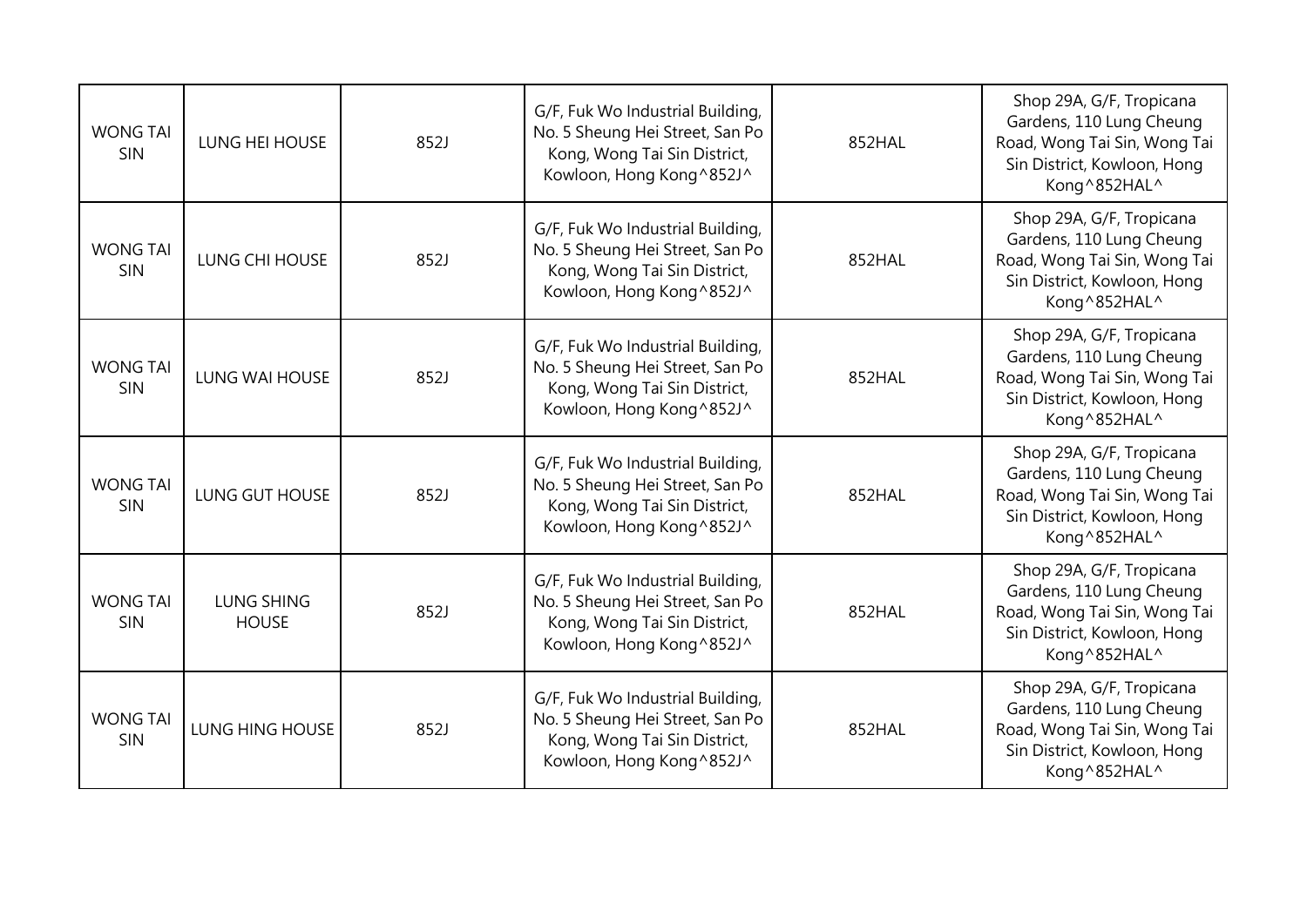| <b>WONG TAI</b><br>SIN | LUNG HEI HOUSE                    | 852J | G/F, Fuk Wo Industrial Building,<br>No. 5 Sheung Hei Street, San Po<br>Kong, Wong Tai Sin District,<br>Kowloon, Hong Kong^852J^  | 852HAL | Shop 29A, G/F, Tropicana<br>Gardens, 110 Lung Cheung<br>Road, Wong Tai Sin, Wong Tai<br>Sin District, Kowloon, Hong<br>Kong^852HAL^ |
|------------------------|-----------------------------------|------|----------------------------------------------------------------------------------------------------------------------------------|--------|-------------------------------------------------------------------------------------------------------------------------------------|
| <b>WONG TAI</b><br>SIN | LUNG CHI HOUSE                    | 852J | G/F, Fuk Wo Industrial Building,<br>No. 5 Sheung Hei Street, San Po<br>Kong, Wong Tai Sin District,<br>Kowloon, Hong Kong^852J^  | 852HAL | Shop 29A, G/F, Tropicana<br>Gardens, 110 Lung Cheung<br>Road, Wong Tai Sin, Wong Tai<br>Sin District, Kowloon, Hong<br>Kong^852HAL^ |
| <b>WONG TAI</b><br>SIN | <b>LUNG WAI HOUSE</b>             | 852J | G/F, Fuk Wo Industrial Building,<br>No. 5 Sheung Hei Street, San Po<br>Kong, Wong Tai Sin District,<br>Kowloon, Hong Kong^852J^  | 852HAL | Shop 29A, G/F, Tropicana<br>Gardens, 110 Lung Cheung<br>Road, Wong Tai Sin, Wong Tai<br>Sin District, Kowloon, Hong<br>Kong^852HAL^ |
| <b>WONG TAI</b><br>SIN | LUNG GUT HOUSE                    | 852J | G/F, Fuk Wo Industrial Building,<br>No. 5 Sheung Hei Street, San Po<br>Kong, Wong Tai Sin District,<br>Kowloon, Hong Kong^852J^  | 852HAL | Shop 29A, G/F, Tropicana<br>Gardens, 110 Lung Cheung<br>Road, Wong Tai Sin, Wong Tai<br>Sin District, Kowloon, Hong<br>Kong^852HAL^ |
| <b>WONG TAI</b><br>SIN | <b>LUNG SHING</b><br><b>HOUSE</b> | 852J | G/F, Fuk Wo Industrial Building,<br>No. 5 Sheung Hei Street, San Po<br>Kong, Wong Tai Sin District,<br>Kowloon, Hong Kong^852J^  | 852HAL | Shop 29A, G/F, Tropicana<br>Gardens, 110 Lung Cheung<br>Road, Wong Tai Sin, Wong Tai<br>Sin District, Kowloon, Hong<br>Kong^852HAL^ |
| <b>WONG TAI</b><br>SIN | LUNG HING HOUSE                   | 852J | G/F, Fuk Wo Industrial Building,<br>No. 5 Sheung Hei Street, San Po<br>Kong, Wong Tai Sin District,<br>Kowloon, Hong Kong ^852J^ | 852HAL | Shop 29A, G/F, Tropicana<br>Gardens, 110 Lung Cheung<br>Road, Wong Tai Sin, Wong Tai<br>Sin District, Kowloon, Hong<br>Kong^852HAL^ |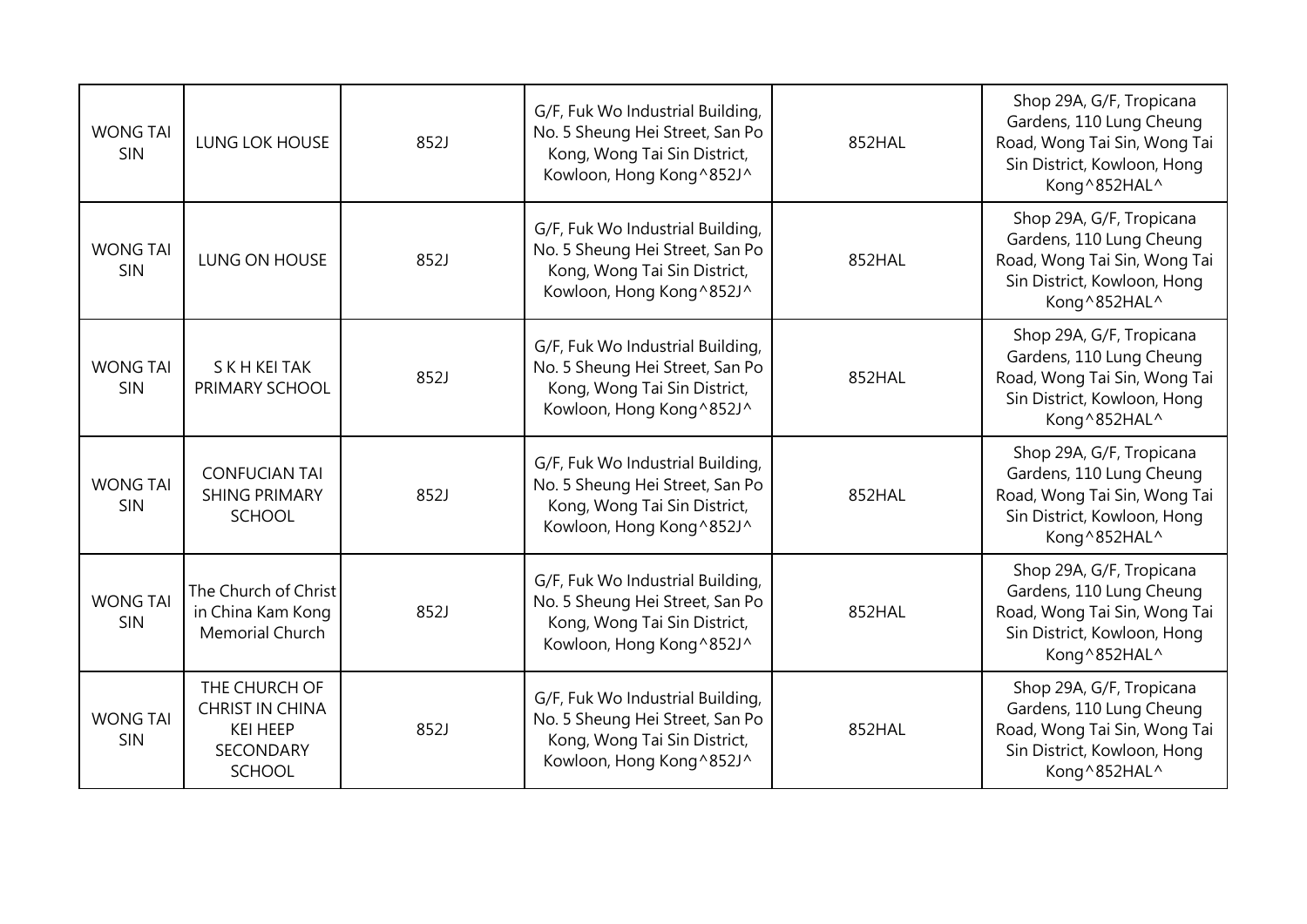| <b>WONG TAI</b><br>SIN | LUNG LOK HOUSE                                                                                  | 852J | G/F, Fuk Wo Industrial Building,<br>No. 5 Sheung Hei Street, San Po<br>Kong, Wong Tai Sin District,<br>Kowloon, Hong Kong^852J^  | 852HAL | Shop 29A, G/F, Tropicana<br>Gardens, 110 Lung Cheung<br>Road, Wong Tai Sin, Wong Tai<br>Sin District, Kowloon, Hong<br>Kong^852HAL^ |
|------------------------|-------------------------------------------------------------------------------------------------|------|----------------------------------------------------------------------------------------------------------------------------------|--------|-------------------------------------------------------------------------------------------------------------------------------------|
| <b>WONG TAI</b><br>SIN | LUNG ON HOUSE                                                                                   | 852J | G/F, Fuk Wo Industrial Building,<br>No. 5 Sheung Hei Street, San Po<br>Kong, Wong Tai Sin District,<br>Kowloon, Hong Kong^852J^  | 852HAL | Shop 29A, G/F, Tropicana<br>Gardens, 110 Lung Cheung<br>Road, Wong Tai Sin, Wong Tai<br>Sin District, Kowloon, Hong<br>Kong^852HAL^ |
| <b>WONG TAI</b><br>SIN | <b>SKHKEITAK</b><br>PRIMARY SCHOOL                                                              | 852J | G/F, Fuk Wo Industrial Building,<br>No. 5 Sheung Hei Street, San Po<br>Kong, Wong Tai Sin District,<br>Kowloon, Hong Kong^852J^  | 852HAL | Shop 29A, G/F, Tropicana<br>Gardens, 110 Lung Cheung<br>Road, Wong Tai Sin, Wong Tai<br>Sin District, Kowloon, Hong<br>Kong^852HAL^ |
| <b>WONG TAI</b><br>SIN | <b>CONFUCIAN TAI</b><br><b>SHING PRIMARY</b><br>SCHOOL                                          | 852J | G/F, Fuk Wo Industrial Building,<br>No. 5 Sheung Hei Street, San Po<br>Kong, Wong Tai Sin District,<br>Kowloon, Hong Kong^852J^  | 852HAL | Shop 29A, G/F, Tropicana<br>Gardens, 110 Lung Cheung<br>Road, Wong Tai Sin, Wong Tai<br>Sin District, Kowloon, Hong<br>Kong^852HAL^ |
| <b>WONG TAI</b><br>SIN | The Church of Christ<br>in China Kam Kong<br>Memorial Church                                    | 852J | G/F, Fuk Wo Industrial Building,<br>No. 5 Sheung Hei Street, San Po<br>Kong, Wong Tai Sin District,<br>Kowloon, Hong Kong^852J^  | 852HAL | Shop 29A, G/F, Tropicana<br>Gardens, 110 Lung Cheung<br>Road, Wong Tai Sin, Wong Tai<br>Sin District, Kowloon, Hong<br>Kong^852HAL^ |
| <b>WONG TAI</b><br>SIN | THE CHURCH OF<br><b>CHRIST IN CHINA</b><br><b>KEI HEEP</b><br><b>SECONDARY</b><br><b>SCHOOL</b> | 852J | G/F, Fuk Wo Industrial Building,<br>No. 5 Sheung Hei Street, San Po<br>Kong, Wong Tai Sin District,<br>Kowloon, Hong Kong ^852J^ | 852HAL | Shop 29A, G/F, Tropicana<br>Gardens, 110 Lung Cheung<br>Road, Wong Tai Sin, Wong Tai<br>Sin District, Kowloon, Hong<br>Kong^852HAL^ |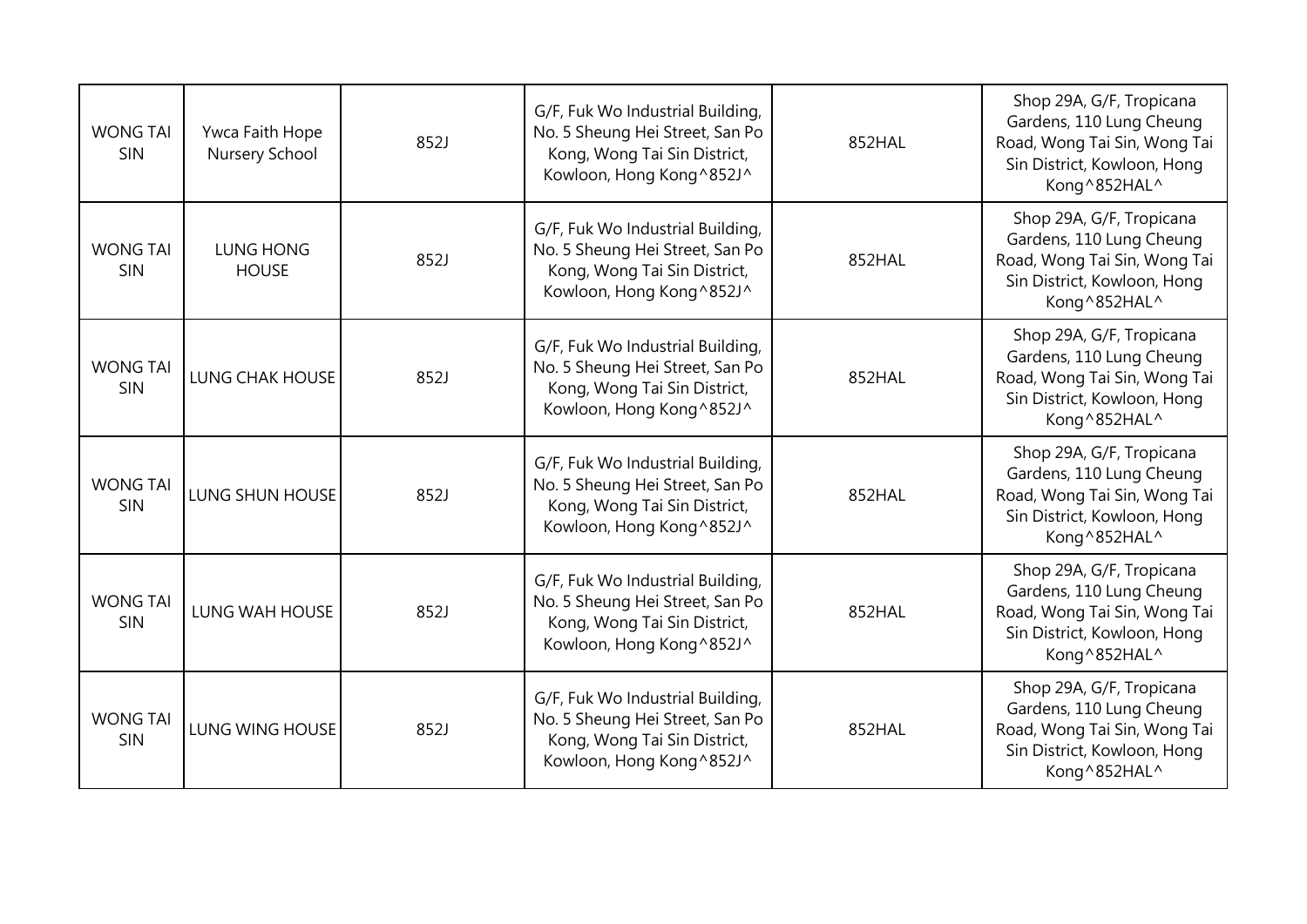| <b>WONG TAI</b><br>SIN        | Ywca Faith Hope<br>Nursery School | 852J | G/F, Fuk Wo Industrial Building,<br>No. 5 Sheung Hei Street, San Po<br>Kong, Wong Tai Sin District,<br>Kowloon, Hong Kong^852J^  | 852HAL | Shop 29A, G/F, Tropicana<br>Gardens, 110 Lung Cheung<br>Road, Wong Tai Sin, Wong Tai<br>Sin District, Kowloon, Hong<br>Kong^852HAL^ |
|-------------------------------|-----------------------------------|------|----------------------------------------------------------------------------------------------------------------------------------|--------|-------------------------------------------------------------------------------------------------------------------------------------|
| <b>WONG TAI</b><br>SIN        | LUNG HONG<br><b>HOUSE</b>         | 852J | G/F, Fuk Wo Industrial Building,<br>No. 5 Sheung Hei Street, San Po<br>Kong, Wong Tai Sin District,<br>Kowloon, Hong Kong^852J^  | 852HAL | Shop 29A, G/F, Tropicana<br>Gardens, 110 Lung Cheung<br>Road, Wong Tai Sin, Wong Tai<br>Sin District, Kowloon, Hong<br>Kong^852HAL^ |
| <b>WONG TAI</b><br><b>SIN</b> | <b>LUNG CHAK HOUSE</b>            | 852J | G/F, Fuk Wo Industrial Building,<br>No. 5 Sheung Hei Street, San Po<br>Kong, Wong Tai Sin District,<br>Kowloon, Hong Kong ^852J^ | 852HAL | Shop 29A, G/F, Tropicana<br>Gardens, 110 Lung Cheung<br>Road, Wong Tai Sin, Wong Tai<br>Sin District, Kowloon, Hong<br>Kong^852HAL^ |
| <b>WONG TAI</b><br><b>SIN</b> | LUNG SHUN HOUSE                   | 852J | G/F, Fuk Wo Industrial Building,<br>No. 5 Sheung Hei Street, San Po<br>Kong, Wong Tai Sin District,<br>Kowloon, Hong Kong^852J^  | 852HAL | Shop 29A, G/F, Tropicana<br>Gardens, 110 Lung Cheung<br>Road, Wong Tai Sin, Wong Tai<br>Sin District, Kowloon, Hong<br>Kong^852HAL^ |
| <b>WONG TAI</b><br><b>SIN</b> | <b>LUNG WAH HOUSE</b>             | 852J | G/F, Fuk Wo Industrial Building,<br>No. 5 Sheung Hei Street, San Po<br>Kong, Wong Tai Sin District,<br>Kowloon, Hong Kong ^852J^ | 852HAL | Shop 29A, G/F, Tropicana<br>Gardens, 110 Lung Cheung<br>Road, Wong Tai Sin, Wong Tai<br>Sin District, Kowloon, Hong<br>Kong^852HAL^ |
| <b>WONG TAI</b><br><b>SIN</b> | <b>LUNG WING HOUSE</b>            | 852J | G/F, Fuk Wo Industrial Building,<br>No. 5 Sheung Hei Street, San Po<br>Kong, Wong Tai Sin District,<br>Kowloon, Hong Kong^852J^  | 852HAL | Shop 29A, G/F, Tropicana<br>Gardens, 110 Lung Cheung<br>Road, Wong Tai Sin, Wong Tai<br>Sin District, Kowloon, Hong<br>Kong^852HAL^ |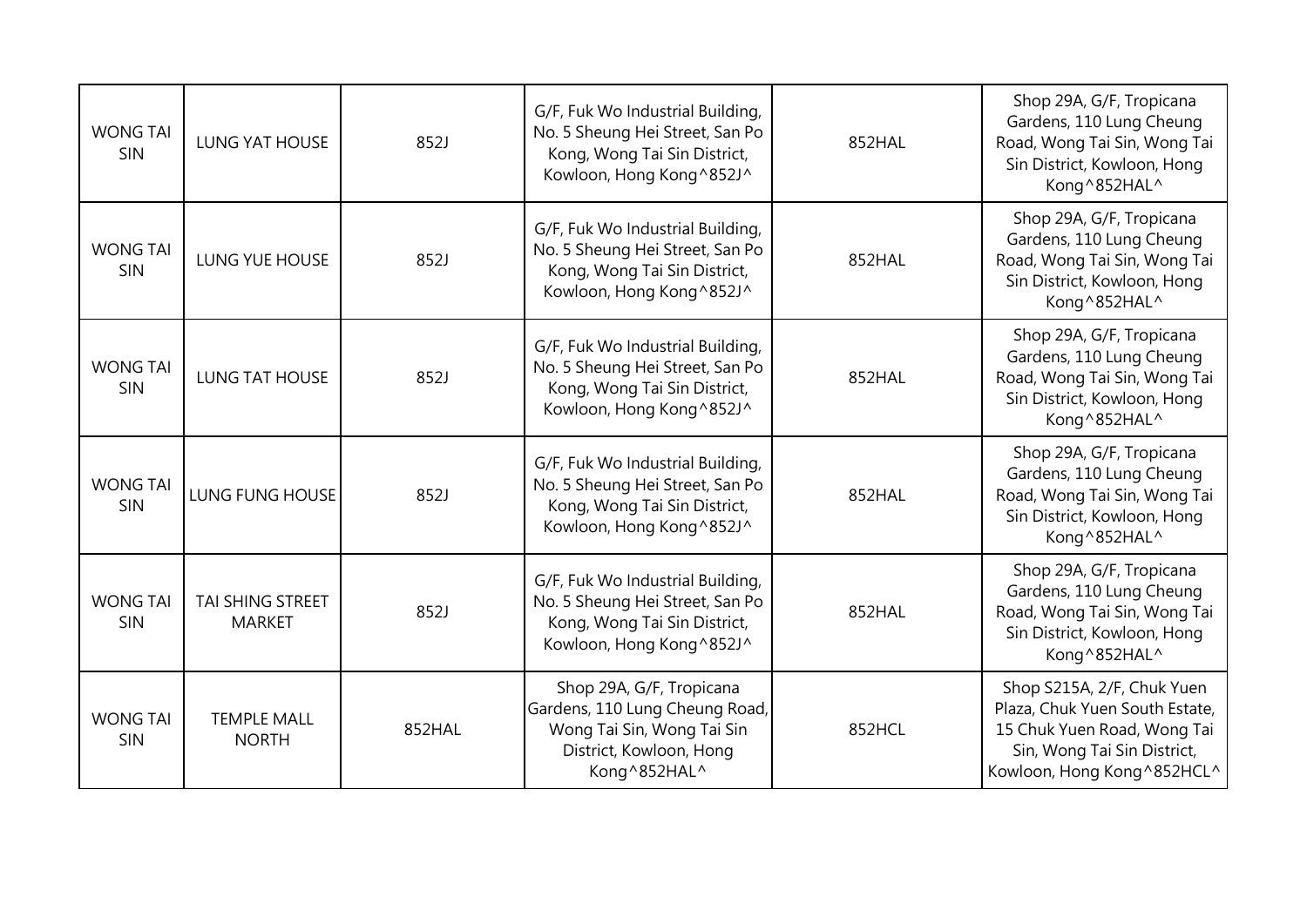| <b>WONG TAI</b><br>SIN | <b>LUNG YAT HOUSE</b>              | 852J   | G/F, Fuk Wo Industrial Building,<br>No. 5 Sheung Hei Street, San Po<br>Kong, Wong Tai Sin District,<br>Kowloon, Hong Kong^852J^      | 852HAL | Shop 29A, G/F, Tropicana<br>Gardens, 110 Lung Cheung<br>Road, Wong Tai Sin, Wong Tai<br>Sin District, Kowloon, Hong<br>Kong^852HAL^                       |
|------------------------|------------------------------------|--------|--------------------------------------------------------------------------------------------------------------------------------------|--------|-----------------------------------------------------------------------------------------------------------------------------------------------------------|
| <b>WONG TAI</b><br>SIN | LUNG YUE HOUSE                     | 852J   | G/F, Fuk Wo Industrial Building,<br>No. 5 Sheung Hei Street, San Po<br>Kong, Wong Tai Sin District,<br>Kowloon, Hong Kong^852J^      | 852HAL | Shop 29A, G/F, Tropicana<br>Gardens, 110 Lung Cheung<br>Road, Wong Tai Sin, Wong Tai<br>Sin District, Kowloon, Hong<br>Kong^852HAL^                       |
| <b>WONG TAI</b><br>SIN | <b>LUNG TAT HOUSE</b>              | 852J   | G/F, Fuk Wo Industrial Building,<br>No. 5 Sheung Hei Street, San Po<br>Kong, Wong Tai Sin District,<br>Kowloon, Hong Kong^852J^      | 852HAL | Shop 29A, G/F, Tropicana<br>Gardens, 110 Lung Cheung<br>Road, Wong Tai Sin, Wong Tai<br>Sin District, Kowloon, Hong<br>Kong^852HAL^                       |
| <b>WONG TAI</b><br>SIN | <b>LUNG FUNG HOUSE</b>             | 852J   | G/F, Fuk Wo Industrial Building,<br>No. 5 Sheung Hei Street, San Po<br>Kong, Wong Tai Sin District,<br>Kowloon, Hong Kong^852J^      | 852HAL | Shop 29A, G/F, Tropicana<br>Gardens, 110 Lung Cheung<br>Road, Wong Tai Sin, Wong Tai<br>Sin District, Kowloon, Hong<br>Kong^852HAL^                       |
| <b>WONG TAI</b><br>SIN | TAI SHING STREET<br><b>MARKET</b>  | 852J   | G/F, Fuk Wo Industrial Building,<br>No. 5 Sheung Hei Street, San Po<br>Kong, Wong Tai Sin District,<br>Kowloon, Hong Kong^852J^      | 852HAL | Shop 29A, G/F, Tropicana<br>Gardens, 110 Lung Cheung<br>Road, Wong Tai Sin, Wong Tai<br>Sin District, Kowloon, Hong<br>Kong^852HAL^                       |
| <b>WONG TAI</b><br>SIN | <b>TEMPLE MALL</b><br><b>NORTH</b> | 852HAL | Shop 29A, G/F, Tropicana<br>Gardens, 110 Lung Cheung Road,<br>Wong Tai Sin, Wong Tai Sin<br>District, Kowloon, Hong<br>Kong ^852HAL^ | 852HCL | Shop S215A, 2/F, Chuk Yuen<br>Plaza, Chuk Yuen South Estate,<br>15 Chuk Yuen Road, Wong Tai<br>Sin, Wong Tai Sin District,<br>Kowloon, Hong Kong ^852HCL^ |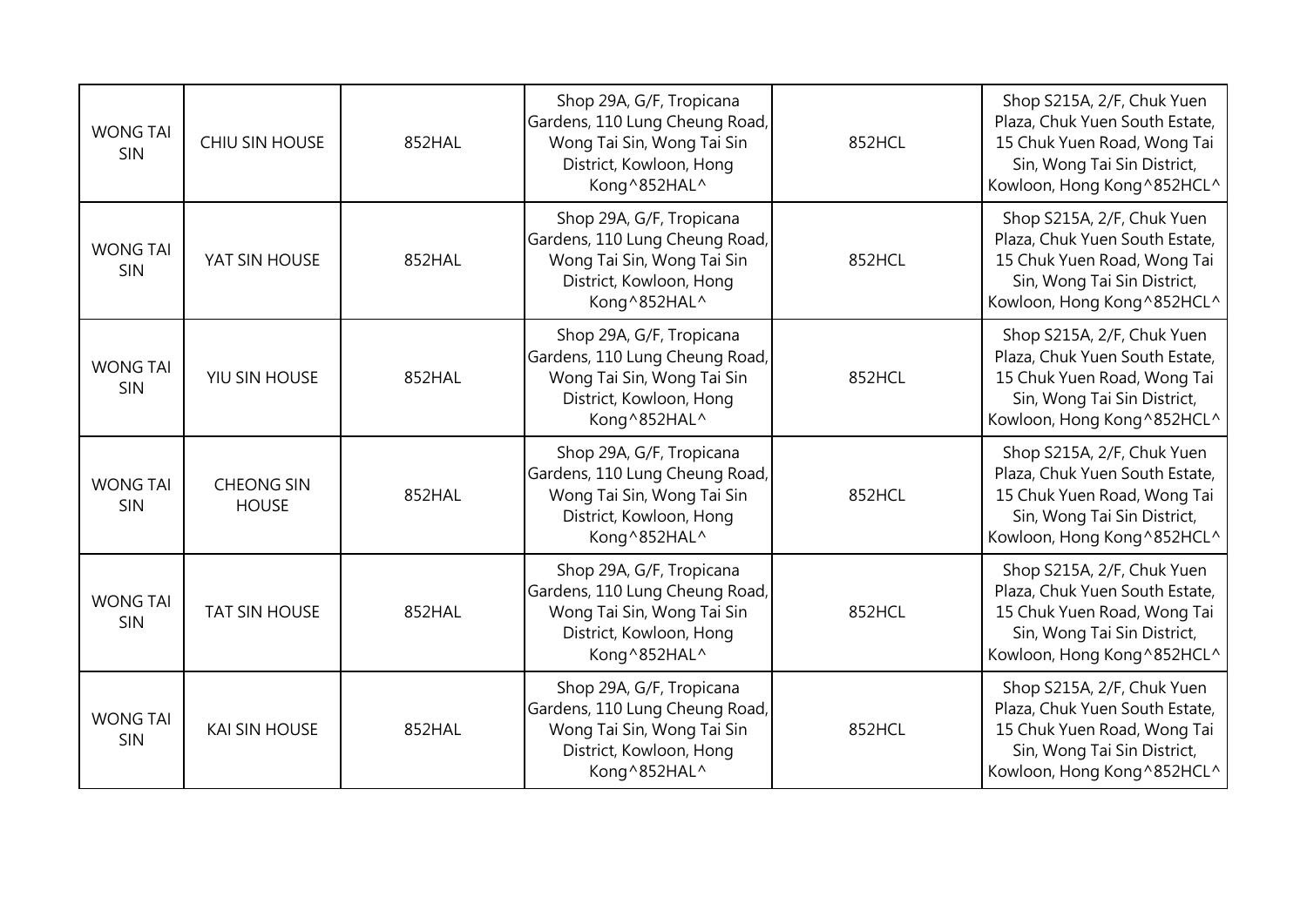| <b>WONG TAI</b><br>SIN | <b>CHIU SIN HOUSE</b>             | 852HAL | Shop 29A, G/F, Tropicana<br>Gardens, 110 Lung Cheung Road,<br>Wong Tai Sin, Wong Tai Sin<br>District, Kowloon, Hong<br>Kong^852HAL^ | 852HCL | Shop S215A, 2/F, Chuk Yuen<br>Plaza, Chuk Yuen South Estate,<br>15 Chuk Yuen Road, Wong Tai<br>Sin, Wong Tai Sin District,<br>Kowloon, Hong Kong ^852HCL^ |
|------------------------|-----------------------------------|--------|-------------------------------------------------------------------------------------------------------------------------------------|--------|-----------------------------------------------------------------------------------------------------------------------------------------------------------|
| <b>WONG TAI</b><br>SIN | YAT SIN HOUSE                     | 852HAL | Shop 29A, G/F, Tropicana<br>Gardens, 110 Lung Cheung Road,<br>Wong Tai Sin, Wong Tai Sin<br>District, Kowloon, Hong<br>Kong^852HAL^ | 852HCL | Shop S215A, 2/F, Chuk Yuen<br>Plaza, Chuk Yuen South Estate,<br>15 Chuk Yuen Road, Wong Tai<br>Sin, Wong Tai Sin District,<br>Kowloon, Hong Kong^852HCL^  |
| <b>WONG TAI</b><br>SIN | YIU SIN HOUSE                     | 852HAL | Shop 29A, G/F, Tropicana<br>Gardens, 110 Lung Cheung Road,<br>Wong Tai Sin, Wong Tai Sin<br>District, Kowloon, Hong<br>Kong^852HAL^ | 852HCL | Shop S215A, 2/F, Chuk Yuen<br>Plaza, Chuk Yuen South Estate,<br>15 Chuk Yuen Road, Wong Tai<br>Sin, Wong Tai Sin District,<br>Kowloon, Hong Kong ^852HCL^ |
| <b>WONG TAI</b><br>SIN | <b>CHEONG SIN</b><br><b>HOUSE</b> | 852HAL | Shop 29A, G/F, Tropicana<br>Gardens, 110 Lung Cheung Road,<br>Wong Tai Sin, Wong Tai Sin<br>District, Kowloon, Hong<br>Kong^852HAL^ | 852HCL | Shop S215A, 2/F, Chuk Yuen<br>Plaza, Chuk Yuen South Estate,<br>15 Chuk Yuen Road, Wong Tai<br>Sin, Wong Tai Sin District,<br>Kowloon, Hong Kong ^852HCL^ |
| <b>WONG TAI</b><br>SIN | <b>TAT SIN HOUSE</b>              | 852HAL | Shop 29A, G/F, Tropicana<br>Gardens, 110 Lung Cheung Road,<br>Wong Tai Sin, Wong Tai Sin<br>District, Kowloon, Hong<br>Kong^852HAL^ | 852HCL | Shop S215A, 2/F, Chuk Yuen<br>Plaza, Chuk Yuen South Estate,<br>15 Chuk Yuen Road, Wong Tai<br>Sin, Wong Tai Sin District,<br>Kowloon, Hong Kong ^852HCL^ |
| <b>WONG TAI</b><br>SIN | <b>KAI SIN HOUSE</b>              | 852HAL | Shop 29A, G/F, Tropicana<br>Gardens, 110 Lung Cheung Road,<br>Wong Tai Sin, Wong Tai Sin<br>District, Kowloon, Hong<br>Kong^852HAL^ | 852HCL | Shop S215A, 2/F, Chuk Yuen<br>Plaza, Chuk Yuen South Estate,<br>15 Chuk Yuen Road, Wong Tai<br>Sin, Wong Tai Sin District,<br>Kowloon, Hong Kong^852HCL^  |